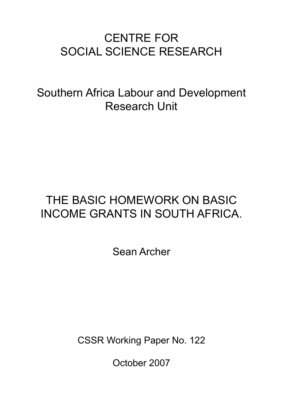# CENTRE FOR SOCIAL SCIENCE RESEARCH

Southern Africa Labour and Development Research Unit

# THE BASIC HOMEWORK ON BASIC INCOME GRANTS IN SOUTH AFRICA.

Sean Archer

CSSR Working Paper No. 122

October 2007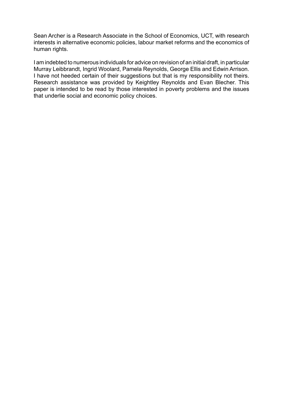Sean Archer is a Research Associate in the School of Economics, UCT, with research interests in alternative economic policies, labour market reforms and the economics of human rights.

I am indebted to numerous individuals for advice on revision of an initial draft, in particular Murray Leibbrandt, Ingrid Woolard, Pamela Reynolds, George Ellis and Edwin Arrison. I have not heeded certain of their suggestions but that is my responsibility not theirs. Research assistance was provided by Keightley Reynolds and Evan Blecher. This paper is intended to be read by those interested in poverty problems and the issues that underlie social and economic policy choices.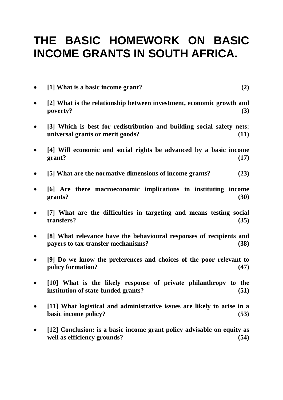# **THE BASIC HOMEWORK ON BASIC INCOME GRANTS IN SOUTH AFRICA.**

|           | [1] What is a basic income grant?<br>(2)                                                                          |
|-----------|-------------------------------------------------------------------------------------------------------------------|
| $\bullet$ | [2] What is the relationship between investment, economic growth and<br>poverty?<br>(3)                           |
| $\bullet$ | [3] Which is best for redistribution and building social safety nets:<br>universal grants or merit goods?<br>(11) |
|           | [4] Will economic and social rights be advanced by a basic income<br>grant?<br>(17)                               |
|           | [5] What are the normative dimensions of income grants?<br>(23)                                                   |
| $\bullet$ | [6] Are there macroeconomic implications in instituting income<br>grants?<br>(30)                                 |
|           | [7] What are the difficulties in targeting and means testing social<br>transfers?<br>(35)                         |
|           | [8] What relevance have the behavioural responses of recipients and<br>payers to tax-transfer mechanisms?<br>(38) |
|           | [9] Do we know the preferences and choices of the poor relevant to<br>policy formation?<br>(47)                   |
|           | [10] What is the likely response of private philanthropy to the<br>institution of state-funded grants?<br>(51)    |
|           | [11] What logistical and administrative issues are likely to arise in a<br>basic income policy?<br>(53)           |
|           |                                                                                                                   |

• **[12] Conclusion: is a basic income grant policy advisable on equity as**  well as efficiency grounds? (54)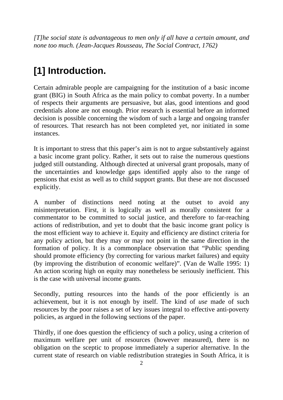*[T]he social state is advantageous to men only if all have a certain amount, and none too much. (Jean-Jacques Rousseau, The Social Contract, 1762)* 

# **[1] Introduction.**

Certain admirable people are campaigning for the institution of a basic income grant (BIG) in South Africa as the main policy to combat poverty. In a number of respects their arguments are persuasive, but alas, good intentions and good credentials alone are not enough. Prior research is essential before an informed decision is possible concerning the wisdom of such a large and ongoing transfer of resources. That research has not been completed yet, nor initiated in some instances.

It is important to stress that this paper's aim is not to argue substantively against a basic income grant policy. Rather, it sets out to raise the numerous questions judged still outstanding. Although directed at universal grant proposals, many of the uncertainties and knowledge gaps identified apply also to the range of pensions that exist as well as to child support grants. But these are not discussed explicitly.

A number of distinctions need noting at the outset to avoid any misinterpretation. First, it is logically as well as morally consistent for a commentator to be committed to social justice, and therefore to far-reaching actions of redistribution, and yet to doubt that the basic income grant policy is the most efficient way to achieve it. Equity and efficiency are distinct criteria for any policy action, but they may or may not point in the same direction in the formation of policy. It is a commonplace observation that "Public spending should promote efficiency (by correcting for various market failures) and equity (by improving the distribution of economic welfare)". (Van de Walle 1995: 1) An action scoring high on equity may nonetheless be seriously inefficient. This is the case with universal income grants.

Secondly, putting resources into the hands of the poor efficiently is an achievement, but it is not enough by itself. The kind of *use* made of such resources by the poor raises a set of key issues integral to effective anti-poverty policies, as argued in the following sections of the paper.

Thirdly, if one does question the efficiency of such a policy, using a criterion of maximum welfare per unit of resources (however measured), there is no obligation on the sceptic to propose immediately a superior alternative. In the current state of research on viable redistribution strategies in South Africa, it is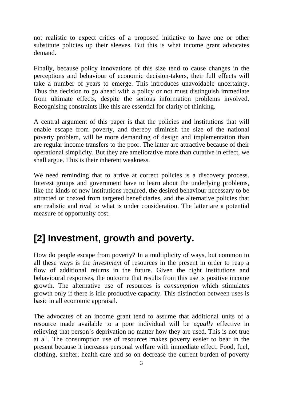not realistic to expect critics of a proposed initiative to have one or other substitute policies up their sleeves. But this is what income grant advocates demand.

Finally, because policy innovations of this size tend to cause changes in the perceptions and behaviour of economic decision-takers, their full effects will take a number of years to emerge. This introduces unavoidable uncertainty. Thus the decision to go ahead with a policy or not must distinguish immediate from ultimate effects, despite the serious information problems involved. Recognising constraints like this are essential for clarity of thinking.

A central argument of this paper is that the policies and institutions that will enable escape from poverty, and thereby diminish the size of the national poverty problem, will be more demanding of design and implementation than are regular income transfers to the poor. The latter are attractive because of their operational simplicity. But they are ameliorative more than curative in effect, we shall argue. This is their inherent weakness.

We need reminding that to arrive at correct policies is a discovery process. Interest groups and government have to learn about the underlying problems, like the kinds of new institutions required, the desired behaviour necessary to be attracted or coaxed from targeted beneficiaries, and the alternative policies that are realistic and rival to what is under consideration. The latter are a potential measure of opportunity cost.

### **[2] Investment, growth and poverty.**

How do people escape from poverty? In a multiplicity of ways, but common to all these ways is the *investment* of resources in the present in order to reap a flow of additional returns in the future. Given the right institutions and behavioural responses, the outcome that results from this use is positive income growth. The alternative use of resources is *consumption* which stimulates growth only if there is idle productive capacity. This distinction between uses is basic in all economic appraisal.

The advocates of an income grant tend to assume that additional units of a resource made available to a poor individual will be *equally* effective in relieving that person's deprivation no matter how they are used. This is not true at all. The consumption use of resources makes poverty easier to bear in the present because it increases personal welfare with immediate effect. Food, fuel, clothing, shelter, health-care and so on decrease the current burden of poverty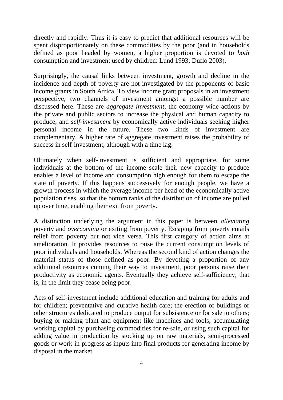directly and rapidly. Thus it is easy to predict that additional resources will be spent disproportionately on these commodities by the poor (and in households defined as poor headed by women, a higher proportion is devoted to *both* consumption and investment used by children: Lund 1993; Duflo 2003).

Surprisingly, the causal links between investment, growth and decline in the incidence and depth of poverty are not investigated by the proponents of basic income grants in South Africa. To view income grant proposals in an investment perspective, two channels of investment amongst a possible number are discussed here. These are *aggregate investment*, the economy-wide actions by the private and public sectors to increase the physical and human capacity to produce; and *self-investment* by economically active individuals seeking higher personal income in the future. These two kinds of investment are complementary. A higher rate of aggregate investment raises the probability of success in self-investment, although with a time lag.

Ultimately when self-investment is sufficient and appropriate, for some individuals at the bottom of the income scale their new capacity to produce enables a level of income and consumption high enough for them to escape the state of poverty. If this happens successively for enough people, we have a growth process in which the average income per head of the economically active population rises, so that the bottom ranks of the distribution of income are pulled up over time, enabling their exit from poverty.

A distinction underlying the argument in this paper is between *alleviating* poverty and *overcoming* or exiting from poverty. Escaping from poverty entails relief from poverty but not vice versa. This first category of action aims at amelioration. It provides resources to raise the current consumption levels of poor individuals and households. Whereas the second kind of action changes the material status of those defined as poor. By devoting a proportion of any additional resources coming their way to investment, poor persons raise their productivity as economic agents. Eventually they achieve self-sufficiency; that is, in the limit they cease being poor.

Acts of self-investment include additional education and training for adults and for children; preventative and curative health care; the erection of buildings or other structures dedicated to produce output for subsistence or for sale to others; buying or making plant and equipment like machines and tools; accumulating working capital by purchasing commodities for re-sale, or using such capital for adding value in production by stocking up on raw materials, semi-processed goods or work-in-progress as inputs into final products for generating income by disposal in the market.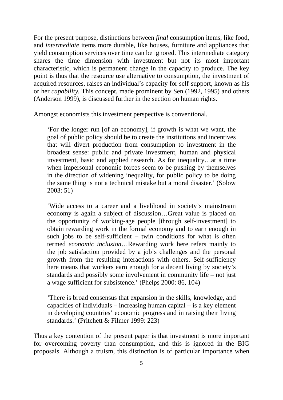For the present purpose, distinctions between *final* consumption items, like food, and *intermediate* items more durable, like houses, furniture and appliances that yield consumption services over time can be ignored. This intermediate category shares the time dimension with investment but not its most important characteristic, which is permanent change in the capacity to produce. The key point is thus that the resource use alternative to consumption, the investment of acquired resources, raises an individual's capacity for self-support, known as his or her *capability.* This concept, made prominent by Sen (1992, 1995) and others (Anderson 1999), is discussed further in the section on human rights.

Amongst economists this investment perspective is conventional.

'For the longer run [of an economy], if growth is what we want, the goal of public policy should be to create the institutions and incentives that will divert production from consumption to investment in the broadest sense: public and private investment, human and physical investment, basic and applied research. As for inequality…at a time when impersonal economic forces seem to be pushing by themselves in the direction of widening inequality, for public policy to be doing the same thing is not a technical mistake but a moral disaster.' (Solow 2003: 51)

'Wide access to a career and a livelihood in society's mainstream economy is again a subject of discussion…Great value is placed on the opportunity of working-age people [through self-investment] to obtain rewarding work in the formal economy and to earn enough in such jobs to be self-sufficient – twin conditions for what is often termed *economic inclusion*…Rewarding work here refers mainly to the job satisfaction provided by a job's challenges and the personal growth from the resulting interactions with others. Self-sufficiency here means that workers earn enough for a decent living by society's standards and possibly some involvement in community life – not just a wage sufficient for subsistence.' (Phelps 2000: 86, 104)

'There is broad consensus that expansion in the skills, knowledge, and capacities of individuals – increasing human capital – is a key element in developing countries' economic progress and in raising their living standards.' (Pritchett & Filmer 1999: 223)

Thus a key contention of the present paper is that investment is more important for overcoming poverty than consumption, and this is ignored in the BIG proposals. Although a truism, this distinction is of particular importance when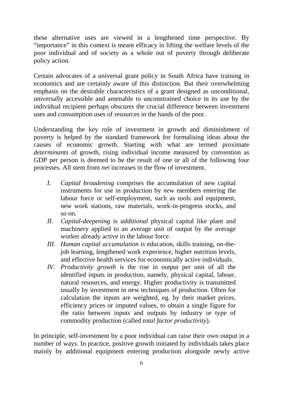these alternative uses are viewed in a lengthened time perspective. By "importance" in this context is meant efficacy in lifting the welfare levels of the poor individual and of society as a whole out of poverty through deliberate policy action.

Certain advocates of a universal grant policy in South Africa have training in economics and are certainly aware of this distinction. But their overwhelming emphasis on the desirable characteristics of a grant designed as unconditional, universally accessible and amenable to unconstrained choice in its use by the individual recipient perhaps obscures the crucial difference between investment uses and consumption uses of resources in the hands of the poor.

Understanding the key role of investment in growth and diminishment of poverty is helped by the standard framework for formalising ideas about the causes of economic growth. Starting with what are termed proximate *determinants* of growth, rising individual income measured by convention as GDP per person is deemed to be the result of one or all of the following four processes. All stem from *net* increases in the flow of investment.

- *I. Capital broadening* comprises the accumulation of new capital instruments for use in production by *new* members entering the labour force or self-employment, such as tools and equipment, new work stations, raw materials, work-in-progress stocks, and so on.
- *II. Capital-deepening* is *additional* physical capital like plant and machinery applied to an average unit of output by the average worker already active in the labour force.
- *III. Human capital accumulation* is education, skills training, on-thejob learning, lengthened work experience, higher nutrition levels, and effective health services for economically active individuals.
- *IV. Productivity growth* is the rise in output per unit of all the identified inputs in production, namely, physical capital, labour, natural resources, and energy. Higher productivity is transmitted usually by investment in new techniques of production. Often for calculation the inputs are weighted, eg. by their market prices, efficiency prices or imputed values, to obtain a single figure for the ratio between inputs and outputs by industry or type of commodity production (called *total factor productivity*).

In principle, self-investment by a poor individual can raise their own output in a number of ways. In practice, positive growth initiated by individuals takes place mainly by additional equipment entering production alongside newly active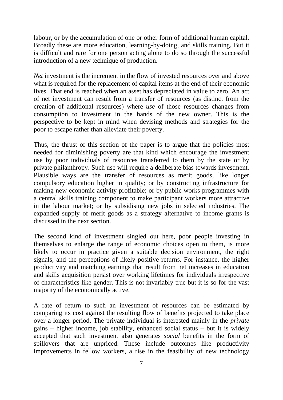labour, or by the accumulation of one or other form of additional human capital. Broadly these are more education, learning-by-doing, and skills training. But it is difficult and rare for one person acting alone to do so through the successful introduction of a new technique of production.

*Net* investment is the increment in the flow of invested resources over and above what is required for the replacement of capital items at the end of their economic lives. That end is reached when an asset has depreciated in value to zero. An act of net investment can result from a transfer of resources (as distinct from the creation of additional resources) where *use* of those resources changes from consumption to investment in the hands of the new owner. This is the perspective to be kept in mind when devising methods and strategies for the poor to escape rather than alleviate their poverty.

Thus, the thrust of this section of the paper is to argue that the policies most needed for diminishing poverty are that kind which encourage the investment use by poor individuals of resources transferred to them by the state or by private philanthropy. Such use will require a deliberate bias towards investment. Plausible ways are the transfer of resources as merit goods, like longer compulsory education higher in quality; or by constructing infrastructure for making new economic activity profitable; or by public works programmes with a central skills training component to make participant workers more attractive in the labour market; or by subsidising new jobs in selected industries. The expanded supply of merit goods as a strategy alternative to income grants is discussed in the next section.

The second kind of investment singled out here, poor people investing in themselves to enlarge the range of economic choices open to them, is more likely to occur in practice given a suitable decision environment, the right signals, and the perceptions of likely positive returns. For instance, the higher productivity and matching earnings that result from net increases in education and skills acquisition persist over working lifetimes for individuals irrespective of characteristics like gender. This is not invariably true but it is so for the vast majority of the economically active.

A rate of return to such an investment of resources can be estimated by comparing its cost against the resulting flow of benefits projected to take place over a longer period. The private individual is interested mainly in the *private* gains – higher income, job stability, enhanced social status – but it is widely accepted that such investment also generates *social* benefits in the form of spillovers that are unpriced. These include outcomes like productivity improvements in fellow workers, a rise in the feasibility of new technology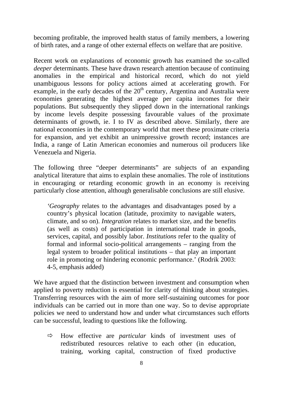becoming profitable, the improved health status of family members, a lowering of birth rates, and a range of other external effects on welfare that are positive.

Recent work on explanations of economic growth has examined the so-called *deeper* determinants. These have drawn research attention because of continuing anomalies in the empirical and historical record, which do not yield unambiguous lessons for policy actions aimed at accelerating growth. For example, in the early decades of the  $20<sup>th</sup>$  century, Argentina and Australia were economies generating the highest average per capita incomes for their populations. But subsequently they slipped down in the international rankings by income levels despite possessing favourable values of the proximate determinants of growth, ie. I to IV as described above. Similarly, there are national economies in the contemporary world that meet these proximate criteria for expansion, and yet exhibit an unimpressive growth record; instances are India, a range of Latin American economies and numerous oil producers like Venezuela and Nigeria.

The following three "deeper determinants" are subjects of an expanding analytical literature that aims to explain these anomalies. The role of institutions in encouraging or retarding economic growth in an economy is receiving particularly close attention, although generalisable conclusions are still elusive.

*'Geography* relates to the advantages and disadvantages posed by a country's physical location (latitude, proximity to navigable waters, climate, and so on). *Integration* relates to market size, and the benefits (as well as costs) of participation in international trade in goods, services, capital, and possibly labor. *Institutions* refer to the quality of formal and informal socio-political arrangements – ranging from the legal system to broader political institutions – that play an important role in promoting or hindering economic performance.' (Rodrik 2003: 4-5, emphasis added)

We have argued that the distinction between investment and consumption when applied to poverty reduction is essential for clarity of thinking about strategies. Transferring resources with the aim of more self-sustaining outcomes for poor individuals can be carried out in more than one way. So to devise appropriate policies we need to understand how and under what circumstances such efforts can be successful, leading to questions like the following.

 $\Rightarrow$  How effective are *particular* kinds of investment uses of redistributed resources relative to each other (in education, training, working capital, construction of fixed productive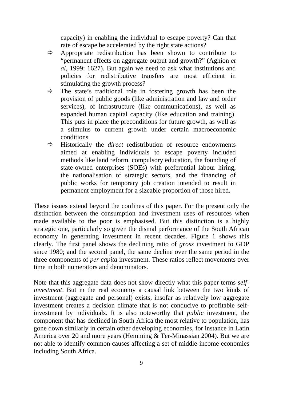capacity) in enabling the individual to escape poverty? Can that rate of escape be accelerated by the right state actions?

- $\Rightarrow$  Appropriate redistribution has been shown to contribute to "permanent effects on aggregate output and growth?" (Aghion *et al,* 1999: 1627). But again we need to ask what institutions and policies for redistributive transfers are most efficient in stimulating the growth process?
- $\Rightarrow$  The state's traditional role in fostering growth has been the provision of public goods (like administration and law and order services), of infrastructure (like communications), as well as expanded human capital capacity (like education and training). This puts in place the preconditions for future growth, as well as a stimulus to current growth under certain macroeconomic conditions.
- $\Rightarrow$  Historically the *direct* redistribution of resource endowments aimed at enabling individuals to escape poverty included methods like land reform, compulsory education, the founding of state-owned enterprises (SOEs) with preferential labour hiring, the nationalisation of strategic sectors, and the financing of public works for temporary job creation intended to result in permanent employment for a sizeable proportion of those hired.

These issues extend beyond the confines of this paper. For the present only the distinction between the consumption and investment uses of resources when made available to the poor is emphasised. But this distinction is a highly strategic one, particularly so given the dismal performance of the South African economy in generating investment in recent decades. Figure 1 shows this clearly. The first panel shows the declining ratio of *gross* investment to GDP since 1980; and the second panel, the same decline over the same period in the three components of *per capita* investment. These ratios reflect movements over time in both numerators and denominators.

Note that this aggregate data does not show directly what this paper terms *selfinvestment*. But in the real economy a causal link between the two kinds of investment (aggregate and personal) exists, insofar as relatively low aggregate investment creates a decision climate that is not conducive to profitable selfinvestment by individuals. It is also noteworthy that *public* investment, the component that has declined in South Africa the most relative to population, has gone down similarly in certain other developing economies, for instance in Latin America over 20 and more years (Hemming & Ter-Minassian 2004). But we are not able to identify common causes affecting a set of middle-income economies including South Africa.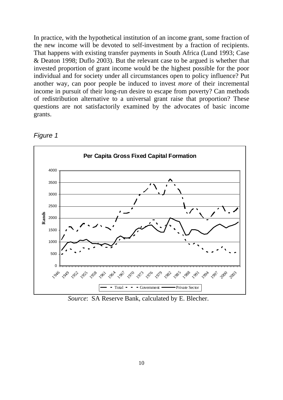In practice, with the hypothetical institution of an income grant, some fraction of the new income will be devoted to self-investment by a fraction of recipients. That happens with existing transfer payments in South Africa (Lund 1993; Case & Deaton 1998; Duflo 2003). But the relevant case to be argued is whether that invested proportion of grant income would be the highest possible for the poor individual and for society under all circumstances open to policy influence? Put another way, can poor people be induced to invest *more* of their incremental income in pursuit of their long-run desire to escape from poverty? Can methods of redistribution alternative to a universal grant raise that proportion? These questions are not satisfactorily examined by the advocates of basic income grants.



*Figure 1* 

*Source*: SA Reserve Bank, calculated by E. Blecher.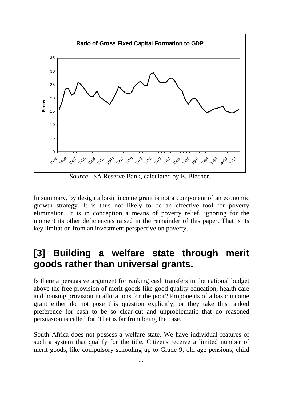

*Source*: SA Reserve Bank, calculated by E. Blecher.

In summary, by design a basic income grant is not a component of an economic growth strategy. It is thus not likely to be an effective tool for poverty elimination. It is in conception a means of poverty relief, ignoring for the moment its other deficiencies raised in the remainder of this paper. That is its key limitation from an investment perspective on poverty.

#### **[3] Building a welfare state through merit goods rather than universal grants.**

Is there a persuasive argument for ranking cash transfers in the national budget above the free provision of merit goods like good quality education, health care and housing provision in allocations for the poor? Proponents of a basic income grant either do not pose this question explicitly, or they take this ranked preference for cash to be so clear-cut and unproblematic that no reasoned persuasion is called for. That is far from being the case.

South Africa does not possess a welfare state. We have individual features of such a system that qualify for the title. Citizens receive a limited number of merit goods, like compulsory schooling up to Grade 9, old age pensions, child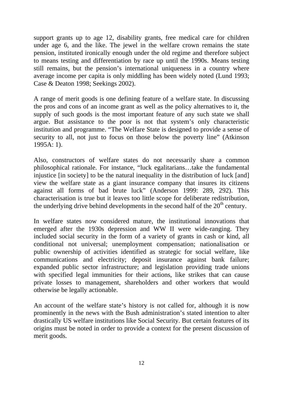support grants up to age 12, disability grants, free medical care for children under age 6, and the like. The jewel in the welfare crown remains the state pension, instituted ironically enough under the old regime and therefore subject to means testing and differentiation by race up until the 1990s. Means testing still remains, but the pension's international uniqueness in a country where average income per capita is only middling has been widely noted (Lund 1993; Case & Deaton 1998; Seekings 2002).

A range of merit goods is one defining feature of a welfare state. In discussing the pros and cons of an income grant as well as the policy alternatives to it, the supply of such goods is the most important feature of any such state we shall argue. But assistance to the poor is not that system's only characteristic institution and programme. "The Welfare State is designed to provide a sense of security to all, not just to focus on those below the poverty line" (Atkinson 1995A: 1).

Also, constructors of welfare states do not necessarily share a common philosophical rationale. For instance, "luck egalitarians…take the fundamental injustice [in society] to be the natural inequality in the distribution of luck [and] view the welfare state as a giant insurance company that insures its citizens against all forms of bad brute luck" (Anderson 1999: 289, 292). This characterisation is true but it leaves too little scope for deliberate redistribution, the underlying drive behind developments in the second half of the  $20<sup>th</sup>$  century.

In welfare states now considered mature, the institutional innovations that emerged after the 1930s depression and WW II were wide-ranging. They included social security in the form of a variety of grants in cash or kind, all conditional not universal; unemployment compensation; nationalisation or public ownership of activities identified as strategic for social welfare, like communications and electricity; deposit insurance against bank failure; expanded public sector infrastructure; and legislation providing trade unions with specified legal immunities for their actions, like strikes that can cause private losses to management, shareholders and other workers that would otherwise be legally actionable.

An account of the welfare state's history is not called for, although it is now prominently in the news with the Bush administration's stated intention to alter drastically US welfare institutions like Social Security. But certain features of its origins must be noted in order to provide a context for the present discussion of merit goods.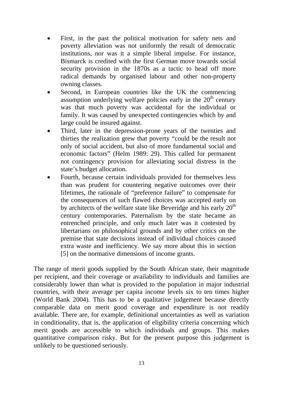- First, in the past the political motivation for safety nets and poverty alleviation was not uniformly the result of democratic institutions, nor was it a simple liberal impulse. For instance, Bismarck is credited with the first German move towards social security provision in the 1870s as a tactic to head off more radical demands by organised labour and other non-property owning classes.
- Second, in European countries like the UK the commencing assumption underlying welfare policies early in the  $20<sup>th</sup>$  century was that much poverty was accidental for the individual or family. It was caused by unexpected contingencies which by and large could be insured against.
- Third, later in the depression-prone years of the twenties and thirties the realization grew that poverty "could be the result not only of social accident, but also of more fundamental social and economic factors" (Helm 1989: 29). This called for permanent not contingency provision for alleviating social distress in the state's budget allocation.
- Fourth, because certain individuals provided for themselves less than was prudent for countering negative outcomes over their lifetimes, the rationale of "preference failure" to compensate for the consequences of such flawed choices was accepted early on by architects of the welfare state like Beveridge and his early  $20<sup>th</sup>$ century contemporaries. Paternalism by the state became an entrenched principle, and only much later was it contested by libertarians on philosophical grounds and by other critics on the premise that state decisions instead of individual choices caused extra waste and inefficiency. We say more about this in section [5] on the normative dimensions of income grants.

The range of merit goods supplied by the South African state, their magnitude per recipient, and their coverage or availability to individuals and families are considerably lower than what is provided to the population in major industrial countries, with their average per capita income levels six to ten times higher (World Bank 2004). This has to be a qualitative judgement because directly comparable data on merit good coverage and expenditure is not readily available. There are, for example, definitional uncertainties as well as variation in conditionality, that is, the application of eligibility criteria concerning which merit goods are accessible to which individuals and groups. This makes quantitative comparison risky. But for the present purpose this judgement is unlikely to be questioned seriously.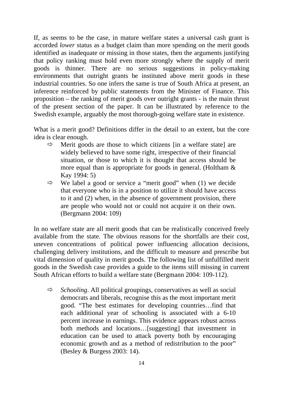If, as seems to be the case, in mature welfare states a universal cash grant is accorded *lower* status as a budget claim than more spending on the merit goods identified as inadequate or missing in those states, then the arguments justifying that policy ranking must hold even more strongly where the supply of merit goods is thinner. There are no serious suggestions in policy-making environments that outright grants be instituted above merit goods in these industrial countries. So one infers the same is true of South Africa at present, an inference reinforced by public statements from the Minister of Finance. This proposition – the ranking of merit goods over outright grants - is the main thrust of the present section of the paper. It can be illustrated by reference to the Swedish example, arguably the most thorough-going welfare state in existence.

What is a merit good? Definitions differ in the detail to an extent, but the core idea is clear enough.

- $\Rightarrow$  Merit goods are those to which citizens [in a welfare state] are widely believed to have some right, irrespective of their financial situation, or those to which it is thought that access should be more equal than is appropriate for goods in general. (Holtham  $\&$ Kay 1994: 5)
- $\Rightarrow$  We label a good or service a "merit good" when (1) we decide that everyone who is in a position to utilize it should have access to it and (2) when, in the absence of government provision, there are people who would not or could not acquire it on their own. (Bergmann 2004: 109)

In no welfare state are all merit goods that can be realistically conceived freely available from the state. The obvious reasons for the shortfalls are their cost, uneven concentrations of political power influencing allocation decisions, challenging delivery institutions, and the difficult to measure and prescribe but vital dimension of quality in merit goods. The following list of unfulfilled merit goods in the Swedish case provides a guide to the items still missing in current South African efforts to build a welfare state (Bergmann 2004: 109-112).

 $\Rightarrow$  *Schooling*. All political groupings, conservatives as well as social democrats and liberals, recognise this as the most important merit good. "The best estimates for developing countries…find that each additional year of schooling is associated with a 6-10 percent increase in earnings. This evidence appears robust across both methods and locations…[suggesting] that investment in education can be used to attack poverty both by encouraging economic growth and as a method of redistribution to the poor" (Besley & Burgess 2003: 14).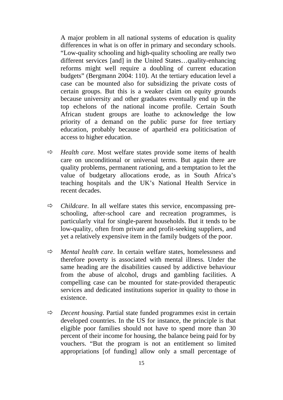A major problem in all national systems of education is quality differences in what is on offer in primary and secondary schools. "Low-quality schooling and high-quality schooling are really two different services [and] in the United States…quality-enhancing reforms might well require a doubling of current education budgets" (Bergmann 2004: 110). At the tertiary education level a case can be mounted also for subsidizing the private costs of certain groups. But this is a weaker claim on equity grounds because university and other graduates eventually end up in the top echelons of the national income profile. Certain South African student groups are loathe to acknowledge the low priority of a demand on the public purse for free tertiary education, probably because of apartheid era politicisation of access to higher education.

- $\Rightarrow$  *Health care*. Most welfare states provide some items of health care on unconditional or universal terms. But again there are quality problems, permanent rationing, and a temptation to let the value of budgetary allocations erode, as in South Africa's teaching hospitals and the UK's National Health Service in recent decades.
- $\Rightarrow$  *Childcare*. In all welfare states this service, encompassing preschooling, after-school care and recreation programmes, is particularly vital for single-parent households. But it tends to be low-quality, often from private and profit-seeking suppliers, and yet a relatively expensive item in the family budgets of the poor.
- Ö *Mental health care*. In certain welfare states, homelessness and therefore poverty is associated with mental illness. Under the same heading are the disabilities caused by addictive behaviour from the abuse of alcohol, drugs and gambling facilities. A compelling case can be mounted for state-provided therapeutic services and dedicated institutions superior in quality to those in existence.
- $\Rightarrow$  *Decent housing*. Partial state funded programmes exist in certain developed countries. In the US for instance, the principle is that eligible poor families should not have to spend more than 30 percent of their income for housing, the balance being paid for by vouchers. "But the program is not an entitlement so limited appropriations [of funding] allow only a small percentage of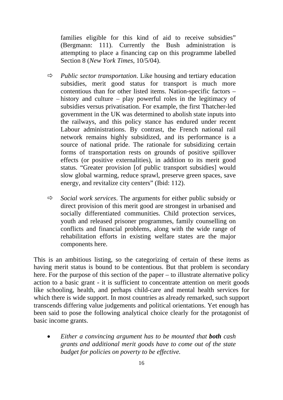families eligible for this kind of aid to receive subsidies" (Bergmann: 111). Currently the Bush administration is attempting to place a financing cap on this programme labelled Section 8 (*New York Times*, 10/5/04).

- $\Rightarrow$  *Public sector transportation*. Like housing and tertiary education subsidies, merit good status for transport is much more contentious than for other listed items. Nation-specific factors – history and culture – play powerful roles in the legitimacy of subsidies versus privatisation. For example, the first Thatcher-led government in the UK was determined to abolish state inputs into the railways, and this policy stance has endured under recent Labour administrations. By contrast, the French national rail network remains highly subsidized, and its performance is a source of national pride. The rationale for subsidizing certain forms of transportation rests on grounds of positive spillover effects (or positive externalities), in addition to its merit good status. "Greater provision [of public transport subsidies] would slow global warming, reduce sprawl, preserve green spaces, save energy, and revitalize city centers" (Ibid: 112).
- $\Rightarrow$  *Social work services*. The arguments for either public subsidy or direct provision of this merit good are strongest in urbanised and socially differentiated communities. Child protection services, youth and released prisoner programmes, family counselling on conflicts and financial problems, along with the wide range of rehabilitation efforts in existing welfare states are the major components here.

This is an ambitious listing, so the categorizing of certain of these items as having merit status is bound to be contentious. But that problem is secondary here. For the purpose of this section of the paper – to illustrate alternative policy action to a basic grant - it is sufficient to concentrate attention on merit goods like schooling, health, and perhaps child-care and mental health services for which there is wide support. In most countries as already remarked, such support transcends differing value judgements and political orientations. Yet enough has been said to pose the following analytical choice clearly for the protagonist of basic income grants.

• *Either a convincing argument has to be mounted that both cash grants and additional merit goods have to come out of the state budget for policies on poverty to be effective.*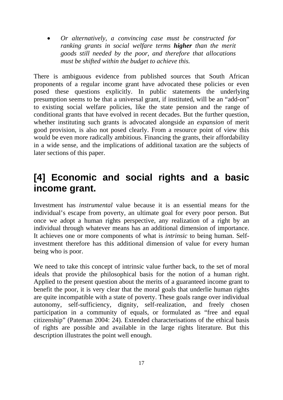• *Or alternatively, a convincing case must be constructed for ranking grants in social welfare terms higher than the merit goods still needed by the poor, and therefore that allocations must be shifted within the budget to achieve this.* 

There is ambiguous evidence from published sources that South African proponents of a regular income grant have advocated these policies or even posed these questions explicitly. In public statements the underlying presumption seems to be that a universal grant, if instituted, will be an "add-on" to existing social welfare policies, like the state pension and the range of conditional grants that have evolved in recent decades. But the further question, whether instituting such grants is advocated alongside an *expansion* of merit good provision, is also not posed clearly. From a resource point of view this would be even more radically ambitious. Financing the grants, their affordability in a wide sense, and the implications of additional taxation are the subjects of later sections of this paper.

#### **[4] Economic and social rights and a basic income grant.**

Investment has *instrumental* value because it is an essential means for the individual's escape from poverty, an ultimate goal for every poor person. But once we adopt a human rights perspective, any realization of a right by an individual through whatever means has an additional dimension of importance. It achieves one or more components of what is *intrinsic* to being human. Selfinvestment therefore has this additional dimension of value for every human being who is poor.

We need to take this concept of intrinsic value further back, to the set of moral ideals that provide the philosophical basis for the notion of a human right. Applied to the present question about the merits of a guaranteed income grant to benefit the poor, it is very clear that the moral goals that underlie human rights are quite incompatible with a state of poverty. These goals range over individual autonomy, self-sufficiency, dignity, self-realization, and freely chosen participation in a community of equals, or formulated as "free and equal citizenship" (Pateman 2004: 24). Extended characterisations of the ethical basis of rights are possible and available in the large rights literature. But this description illustrates the point well enough.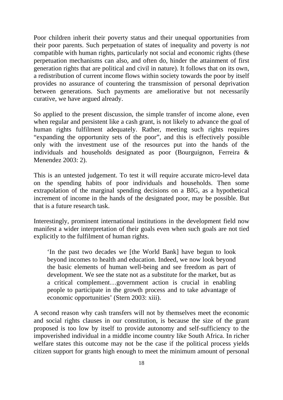Poor children inherit their poverty status and their unequal opportunities from their poor parents. Such perpetuation of states of inequality and poverty is *not* compatible with human rights, particularly not social and economic rights (these perpetuation mechanisms can also, and often do, hinder the attainment of first generation rights that are political and civil in nature). It follows that on its own, a redistribution of current income flows within society towards the poor by itself provides no assurance of countering the transmission of personal deprivation between generations. Such payments are ameliorative but not necessarily curative, we have argued already.

So applied to the present discussion, the simple transfer of income alone, even when regular and persistent like a cash grant, is not likely to advance the goal of human rights fulfilment adequately. Rather, meeting such rights requires "expanding the opportunity sets of the poor", and this is effectively possible only with the investment use of the resources put into the hands of the individuals and households designated as poor (Bourguignon, Ferreira & Menendez 2003: 2).

This is an untested judgement. To test it will require accurate micro-level data on the spending habits of poor individuals and households. Then some extrapolation of the marginal spending decisions on a BIG, as a hypothetical increment of income in the hands of the designated poor, may be possible. But that is a future research task.

Interestingly, prominent international institutions in the development field now manifest a wider interpretation of their goals even when such goals are not tied explicitly to the fulfilment of human rights.

'In the past two decades we [the World Bank] have begun to look beyond incomes to health and education. Indeed, we now look beyond the basic elements of human well-being and see freedom as part of development. We see the state not as a substitute for the market, but as a critical complement…government action is crucial in enabling people to participate in the growth process and to take advantage of economic opportunities' (Stern 2003: xiii).

A second reason why cash transfers will not by themselves meet the economic and social rights clauses in our constitution, is because the size of the grant proposed is too low by itself to provide autonomy and self-sufficiency to the impoverished individual in a middle income country like South Africa. In richer welfare states this outcome may not be the case if the political process yields citizen support for grants high enough to meet the minimum amount of personal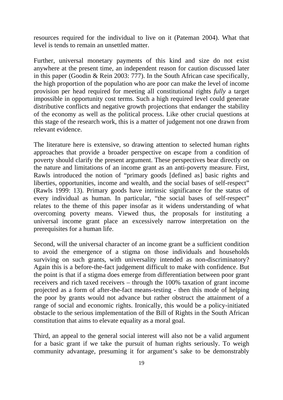resources required for the individual to live on it (Pateman 2004). What that level is tends to remain an unsettled matter.

Further, universal monetary payments of this kind and size do not exist anywhere at the present time, an independent reason for caution discussed later in this paper (Goodin & Rein 2003: 777). In the South African case specifically, the high proportion of the population who are poor can make the level of income provision per head required for meeting all constitutional rights *fully* a target impossible in opportunity cost terms. Such a high required level could generate distributive conflicts and negative growth projections that endanger the stability of the economy as well as the political process. Like other crucial questions at this stage of the research work, this is a matter of judgement not one drawn from relevant evidence.

The literature here is extensive, so drawing attention to selected human rights approaches that provide a broader perspective on escape from a condition of poverty should clarify the present argument. These perspectives bear directly on the nature and limitations of an income grant as an anti-poverty measure. First, Rawls introduced the notion of "primary goods [defined as] basic rights and liberties, opportunities, income and wealth, and the social bases of self-respect" (Rawls 1999: 13). Primary goods have intrinsic significance for the status of every individual as human. In particular, "the social bases of self-respect" relates to the theme of this paper insofar as it widens understanding of what overcoming poverty means. Viewed thus, the proposals for instituting a universal income grant place an excessively narrow interpretation on the prerequisites for a human life.

Second, will the universal character of an income grant be a sufficient condition to avoid the emergence of a stigma on those individuals and households surviving on such grants, with universality intended as non-discriminatory? Again this is a before-the-fact judgement difficult to make with confidence. But the point is that if a stigma does emerge from differentiation between poor grant receivers and rich taxed receivers – through the 100% taxation of grant income projected as a form of after-the-fact means-testing - then this mode of helping the poor by grants would not advance but rather obstruct the attainment of a range of social and economic rights. Ironically, this would be a policy-initiated obstacle to the serious implementation of the Bill of Rights in the South African constitution that aims to elevate equality as a moral goal.

Third, an appeal to the general social interest will also not be a valid argument for a basic grant if we take the pursuit of human rights seriously. To weigh community advantage, presuming it for argument's sake to be demonstrably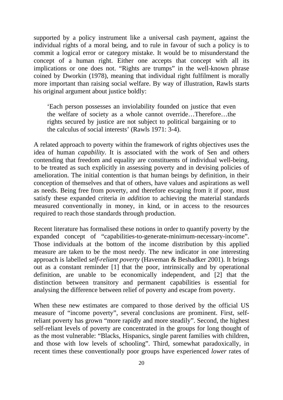supported by a policy instrument like a universal cash payment, against the individual rights of a moral being, and to rule in favour of such a policy is to commit a logical error or category mistake. It would be to misunderstand the concept of a human right. Either one accepts that concept with all its implications or one does not. "Rights are trumps" in the well-known phrase coined by Dworkin (1978), meaning that individual right fulfilment is morally more important than raising social welfare. By way of illustration, Rawls starts his original argument about justice boldly:

'Each person possesses an inviolability founded on justice that even the welfare of society as a whole cannot override…Therefore…the rights secured by justice are not subject to political bargaining or to the calculus of social interests' (Rawls 1971: 3-4).

A related approach to poverty within the framework of rights objectives uses the idea of human *capability*. It is associated with the work of Sen and others contending that freedom and equality are constituents of individual well-being, to be treated as such explicitly in assessing poverty and in devising policies of amelioration. The initial contention is that human beings by definition, in their conception of themselves and that of others, have values and aspirations as well as needs. Being free from poverty, and therefore escaping from it if poor, must satisfy these expanded criteria *in addition* to achieving the material standards measured conventionally in money, in kind, or in access to the resources required to reach those standards through production.

Recent literature has formalised these notions in order to quantify poverty by the expanded concept of "capabilities-to-generate-minimum-necessary-income". Those individuals at the bottom of the income distribution by this applied measure are taken to be the most needy. The new indicator in one interesting approach is labelled *self-reliant poverty* (Haveman & Beshadker 2001)*.* It brings out as a constant reminder [1] that the poor, intrinsically and by operational definition, are unable to be economically independent, and [2] that the distinction between transitory and permanent capabilities is essential for analysing the difference between relief of poverty and escape from poverty.

When these new estimates are compared to those derived by the official US measure of "income poverty", several conclusions are prominent. First, selfreliant poverty has grown "more rapidly and more steadily". Second, the highest self-reliant levels of poverty are concentrated in the groups for long thought of as the most vulnerable: "Blacks, Hispanics, single parent families with children, and those with low levels of schooling". Third, somewhat paradoxically, in recent times these conventionally poor groups have experienced *lower* rates of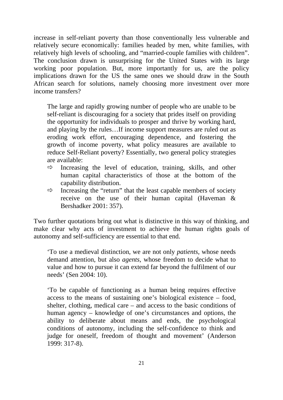increase in self-reliant poverty than those conventionally less vulnerable and relatively secure economically: families headed by men, white families, with relatively high levels of schooling, and "married-couple families with children". The conclusion drawn is unsurprising for the United States with its large working poor population. But, more importantly for us, are the policy implications drawn for the US the same ones we should draw in the South African search for solutions, namely choosing more investment over more income transfers?

The large and rapidly growing number of people who are unable to be self-reliant is discouraging for a society that prides itself on providing the opportunity for individuals to prosper and thrive by working hard, and playing by the rules…If income support measures are ruled out as eroding work effort, encouraging dependence, and fostering the growth of income poverty, what policy measures are available to reduce Self-Reliant poverty? Essentially, two general policy strategies are available:

- $\Rightarrow$  Increasing the level of education, training, skills, and other human capital characteristics of those at the bottom of the capability distribution.
- $\Rightarrow$  Increasing the "return" that the least capable members of society receive on the use of their human capital (Haveman & Bershadker 2001: 357).

Two further quotations bring out what is distinctive in this way of thinking, and make clear why acts of investment to achieve the human rights goals of autonomy and self-sufficiency are essential to that end.

'To use a medieval distinction, we are not only *patients*, whose needs demand attention, but also *agents*, whose freedom to decide what to value and how to pursue it can extend far beyond the fulfilment of our needs' (Sen 2004: 10).

'To be capable of functioning as a human being requires effective access to the means of sustaining one's biological existence – food, shelter, clothing, medical care – and access to the basic conditions of human agency – knowledge of one's circumstances and options, the ability to deliberate about means and ends, the psychological conditions of autonomy, including the self-confidence to think and judge for oneself, freedom of thought and movement' (Anderson 1999: 317-8).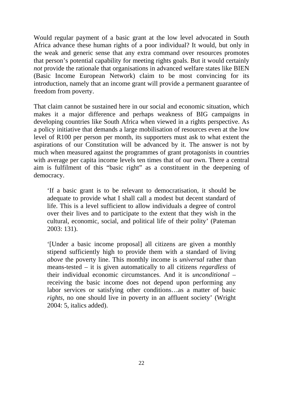Would regular payment of a basic grant at the low level advocated in South Africa advance these human rights of a poor individual? It would, but only in the weak and generic sense that any extra command over resources promotes that person's potential capability for meeting rights goals. But it would certainly *not* provide the rationale that organisations in advanced welfare states like BIEN (Basic Income European Network) claim to be most convincing for its introduction, namely that an income grant will provide a permanent guarantee of freedom from poverty.

That claim cannot be sustained here in our social and economic situation, which makes it a major difference and perhaps weakness of BIG campaigns in developing countries like South Africa when viewed in a rights perspective. As a policy initiative that demands a large mobilisation of resources even at the low level of R100 per person per month, its supporters must ask to what extent the aspirations of our Constitution will be advanced by it. The answer is not by much when measured against the programmes of grant protagonists in countries with average per capita income levels ten times that of our own. There a central aim is fulfilment of this "basic right" as a constituent in the deepening of democracy.

'If a basic grant is to be relevant to democratisation, it should be adequate to provide what I shall call a modest but decent standard of life. This is a level sufficient to allow individuals a degree of control over their lives and to participate to the extent that they wish in the cultural, economic, social, and political life of their polity' (Pateman 2003: 131).

'[Under a basic income proposal] all citizens are given a monthly stipend sufficiently high to provide them with a standard of living *above* the poverty line. This monthly income is *universal* rather than means-tested – it is given automatically to all citizens *regardless* of their individual economic circumstances. And it is *unconditional* – receiving the basic income does not depend upon performing any labor services or satisfying other conditions…as a matter of basic *rights*, no one should live in poverty in an affluent society' (Wright 2004: 5, italics added).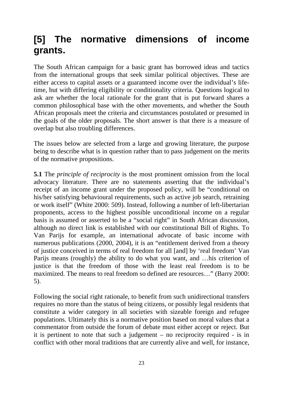### **[5] The normative dimensions of income grants.**

The South African campaign for a basic grant has borrowed ideas and tactics from the international groups that seek similar political objectives. These are either access to capital assets or a guaranteed income over the individual's lifetime, but with differing eligibility or conditionality criteria. Questions logical to ask are whether the local rationale for the grant that is put forward shares a common philosophical base with the other movements, and whether the South African proposals meet the criteria and circumstances postulated or presumed in the goals of the older proposals. The short answer is that there is a measure of overlap but also troubling differences.

The issues below are selected from a large and growing literature, the purpose being to describe what is in question rather than to pass judgement on the merits of the normative propositions.

**5.1** The *principle of reciprocity* is the most prominent omission from the local advocacy literature. There are no statements asserting that the individual's receipt of an income grant under the proposed policy, will be "conditional on his/her satisfying behavioural requirements, such as active job search, retraining or work itself" (White 2000: 509). Instead, following a number of left-libertarian proponents, access to the highest possible unconditional income on a regular basis is assumed or asserted to be a "social right" in South African discussion, although no direct link is established with our constitutional Bill of Rights. To Van Parijs for example, an international advocate of basic income with numerous publications (2000, 2004), it is an "entitlement derived from a theory of justice conceived in terms of real freedom for all [and] by 'real freedom' Van Parijs means (roughly) the ability to do what you want, and …his criterion of justice is that the freedom of those with the least real freedom is to be maximized. The means to real freedom so defined are resources…" (Barry 2000: 5).

Following the social right rationale, to benefit from such unidirectional transfers requires no more than the status of being citizens, or possibly legal residents that constitute a wider category in all societies with sizeable foreign and refugee populations. Ultimately this is a normative position based on moral values that a commentator from outside the forum of debate must either accept or reject. But it is pertinent to note that such a judgement – no reciprocity required - is in conflict with other moral traditions that are currently alive and well, for instance,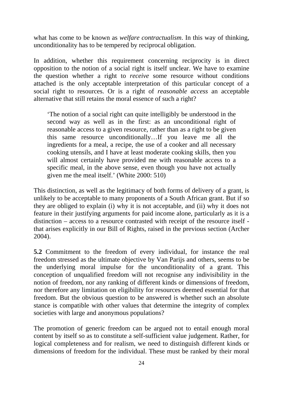what has come to be known as *welfare contractualism*. In this way of thinking, unconditionality has to be tempered by reciprocal obligation.

In addition, whether this requirement concerning reciprocity is in direct opposition to the notion of a social right is itself unclear. We have to examine the question whether a right to *receive* some resource without conditions attached is the only acceptable interpretation of this particular concept of a social right to resources. Or is a right of *reasonable access* an acceptable alternative that still retains the moral essence of such a right?

'The notion of a social right can quite intelligibly be understood in the second way as well as in the first: as an unconditional right of reasonable access to a given resource, rather than as a right to be given this same resource unconditionally…If you leave me all the ingredients for a meal, a recipe, the use of a cooker and all necessary cooking utensils, and I have at least moderate cooking skills, then you will almost certainly have provided me with reasonable access to a specific meal, in the above sense, even though you have not actually given me the meal itself.' (White 2000: 510)

This distinction, as well as the legitimacy of both forms of delivery of a grant, is unlikely to be acceptable to many proponents of a South African grant. But if so they are obliged to explain (i) why it is not acceptable, and (ii) why it does not feature in their justifying arguments for paid income alone, particularly as it is a distinction – access to a resource contrasted with receipt of the resource itself that arises explicitly in our Bill of Rights, raised in the previous section (Archer 2004).

**5.2** Commitment to the freedom of every individual, for instance the real freedom stressed as the ultimate objective by Van Parijs and others, seems to be the underlying moral impulse for the unconditionality of a grant. This conception of unqualified freedom will not recognise any indivisibility in the notion of freedom, nor any ranking of different kinds or dimensions of freedom, nor therefore any limitation on eligibility for resources deemed essential for that freedom. But the obvious question to be answered is whether such an absolute stance is compatible with other values that determine the integrity of complex societies with large and anonymous populations?

The promotion of generic freedom can be argued not to entail enough moral content by itself so as to constitute a self-sufficient value judgement. Rather, for logical completeness and for realism, we need to distinguish different kinds or dimensions of freedom for the individual. These must be ranked by their moral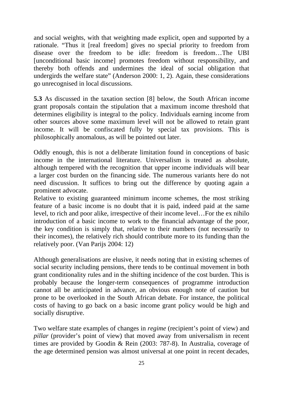and social weights, with that weighting made explicit, open and supported by a rationale. "Thus it [real freedom] gives no special priority to freedom from disease over the freedom to be idle: freedom is freedom…The UBI [unconditional basic income] promotes freedom without responsibility, and thereby both offends and undermines the ideal of social obligation that undergirds the welfare state" (Anderson 2000: 1, 2). Again, these considerations go unrecognised in local discussions.

**5.3** As discussed in the taxation section [8] below, the South African income grant proposals contain the stipulation that a maximum income threshold that determines eligibility is integral to the policy. Individuals earning income from other sources above some maximum level will not be allowed to retain grant income. It will be confiscated fully by special tax provisions. This is philosophically anomalous, as will be pointed out later.

Oddly enough, this is not a deliberate limitation found in conceptions of basic income in the international literature. Universalism is treated as absolute, although tempered with the recognition that upper income individuals will bear a larger cost burden on the financing side. The numerous variants here do not need discussion. It suffices to bring out the difference by quoting again a prominent advocate.

Relative to existing guaranteed minimum income schemes, the most striking feature of a basic income is no doubt that it is paid, indeed paid at the same level, to rich and poor alike, irrespective of their income level…For the ex nihilo introduction of a basic income to work to the financial advantage of the poor, the key condition is simply that, relative to their numbers (not necessarily to their incomes), the relatively rich should contribute more to its funding than the relatively poor. (Van Parijs 2004: 12)

Although generalisations are elusive, it needs noting that in existing schemes of social security including pensions, there tends to be continual movement in both grant conditionality rules and in the shifting incidence of the cost burden. This is probably because the longer-term consequences of programme introduction cannot all be anticipated in advance, an obvious enough note of caution but prone to be overlooked in the South African debate. For instance, the political costs of having to go back on a basic income grant policy would be high and socially disruptive.

Two welfare state examples of changes in *regime* (recipient's point of view) and *pillar* (provider's point of view) that moved away from universalism in recent times are provided by Goodin & Rein (2003: 787-8). In Australia, coverage of the age determined pension was almost universal at one point in recent decades,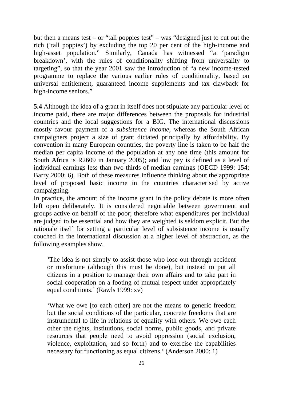but then a means test – or "tall poppies test" – was "designed just to cut out the rich ('tall poppies') by excluding the top 20 per cent of the high-income and high-asset population." Similarly, Canada has witnessed "a 'paradigm breakdown', with the rules of conditionality shifting from universality to targeting", so that the year 2001 saw the introduction of "a new income-tested programme to replace the various earlier rules of conditionality, based on universal entitlement, guaranteed income supplements and tax clawback for high-income seniors."

**5.4** Although the idea of a grant in itself does not stipulate any particular level of income paid, there are major differences between the proposals for industrial countries and the local suggestions for a BIG. The international discussions mostly favour payment of a *subsistence income*, whereas the South African campaigners project a size of grant dictated principally by affordability. By convention in many European countries, the poverty line is taken to be half the median per capita income of the population at any one time (this amount for South Africa is R2609 in January 2005); and low pay is defined as a level of individual earnings less than two-thirds of median earnings (OECD 1999: 154; Barry 2000: 6). Both of these measures influence thinking about the appropriate level of proposed basic income in the countries characterised by active campaigning.

In practice, the amount of the income grant in the policy debate is more often left open deliberately. It is considered negotiable between government and groups active on behalf of the poor; therefore what expenditures per individual are judged to be essential and how they are weighted is seldom explicit. But the rationale itself for setting a particular level of subsistence income is usually couched in the international discussion at a higher level of abstraction, as the following examples show.

'The idea is not simply to assist those who lose out through accident or misfortune (although this must be done), but instead to put all citizens in a position to manage their own affairs and to take part in social cooperation on a footing of mutual respect under appropriately equal conditions.' (Rawls 1999: xv)

'What we owe [to each other] are not the means to generic freedom but the social conditions of the particular, concrete freedoms that are instrumental to life in relations of equality with others. We owe each other the rights, institutions, social norms, public goods, and private resources that people need to avoid oppression (social exclusion, violence, exploitation, and so forth) and to exercise the capabilities necessary for functioning as equal citizens.' (Anderson 2000: 1)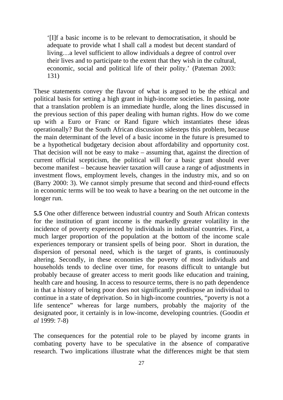'[I]f a basic income is to be relevant to democratisation, it should be adequate to provide what I shall call a modest but decent standard of living…a level sufficient to allow individuals a degree of control over their lives and to participate to the extent that they wish in the cultural, economic, social and political life of their polity.' (Pateman 2003: 131)

These statements convey the flavour of what is argued to be the ethical and political basis for setting a high grant in high-income societies. In passing, note that a translation problem is an immediate hurdle, along the lines discussed in the previous section of this paper dealing with human rights. How do we come up with a Euro or Franc or Rand figure which instantiates these ideas operationally? But the South African discussion sidesteps this problem, because the main determinant of the level of a basic income in the future is presumed to be a hypothetical budgetary decision about affordability and opportunity cost. That decision will not be easy to make – assuming that, against the direction of current official scepticism, the political will for a basic grant should ever become manifest – because heavier taxation will cause a range of adjustments in investment flows, employment levels, changes in the industry mix, and so on (Barry 2000: 3). We cannot simply presume that second and third-round effects in economic terms will be too weak to have a bearing on the net outcome in the longer run.

**5.5** One other difference between industrial country and South African contexts for the institution of grant income is the markedly greater volatility in the incidence of poverty experienced by individuals in industrial countries. First, a much larger proportion of the population at the bottom of the income scale experiences temporary or transient spells of being poor. Short in duration, the dispersion of personal need, which is the target of grants, is continuously altering. Secondly, in these economies the poverty of most individuals and households tends to decline over time, for reasons difficult to untangle but probably because of greater access to merit goods like education and training, health care and housing. In access to resource terms, there is no path dependence in that a history of being poor does not significantly predispose an individual to continue in a state of deprivation. So in high-income countries, "poverty is not a life sentence" whereas for large numbers, probably the majority of the designated poor, it certainly is in low-income, developing countries. (Goodin *et al* 1999: 7-8)

The consequences for the potential role to be played by income grants in combating poverty have to be speculative in the absence of comparative research. Two implications illustrate what the differences might be that stem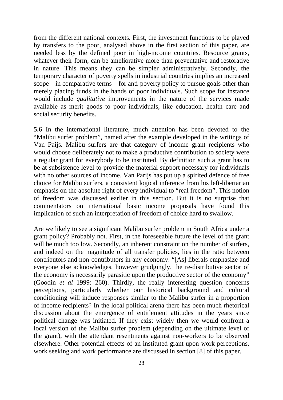from the different national contexts. First, the investment functions to be played by transfers to the poor, analysed above in the first section of this paper, are needed less by the defined poor in high-income countries. Resource grants, whatever their form, can be ameliorative more than preventative and restorative in nature. This means they can be simpler administratively. Secondly, the temporary character of poverty spells in industrial countries implies an increased scope – in comparative terms – for anti-poverty policy to pursue goals other than merely placing funds in the hands of poor individuals. Such scope for instance would include *qualitative* improvements in the nature of the services made available as merit goods to poor individuals, like education, health care and social security benefits.

**5.6** In the international literature, much attention has been devoted to the "Malibu surfer problem", named after the example developed in the writings of Van Paijs. Malibu surfers are that category of income grant recipients who would choose deliberately not to make a productive contribution to society were a regular grant for everybody to be instituted. By definition such a grant has to be at subsistence level to provide the material support necessary for individuals with no other sources of income. Van Parijs has put up a spirited defence of free choice for Malibu surfers, a consistent logical inference from his left-libertarian emphasis on the absolute right of every individual to "real freedom". This notion of freedom was discussed earlier in this section. But it is no surprise that commentators on international basic income proposals have found this implication of such an interpretation of freedom of choice hard to swallow.

Are we likely to see a significant Malibu surfer problem in South Africa under a grant policy? Probably not. First, in the foreseeable future the level of the grant will be much too low. Secondly, an inherent constraint on the number of surfers, and indeed on the magnitude of all transfer policies, lies in the ratio between contributors and non-contributors in any economy. "[As] liberals emphasize and everyone else acknowledges, however grudgingly, the re-distributive sector of the economy is necessarily parasitic upon the productive sector of the economy" (Goodin *et al* 1999: 260). Thirdly, the really interesting question concerns perceptions, particularly whether our historical background and cultural conditioning will induce responses similar to the Malibu surfer in a proportion of income recipients? In the local political arena there has been much rhetorical discussion about the emergence of entitlement attitudes in the years since political change was initiated. If they exist widely then we would confront a local version of the Malibu surfer problem (depending on the ultimate level of the grant), with the attendant resentments against non-workers to be observed elsewhere. Other potential effects of an instituted grant upon work perceptions, work seeking and work performance are discussed in section [8] of this paper.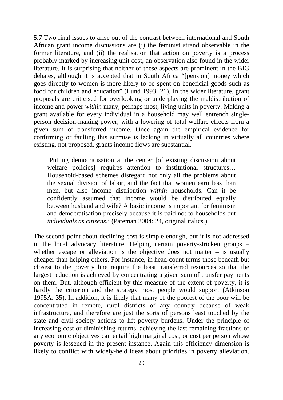**5.7** Two final issues to arise out of the contrast between international and South African grant income discussions are (i) the feminist strand observable in the former literature, and (ii) the realisation that action on poverty is a process probably marked by increasing unit cost, an observation also found in the wider literature. It is surprising that neither of these aspects are prominent in the BIG debates, although it is accepted that in South Africa "[pension] money which goes directly to women is more likely to be spent on beneficial goods such as food for children and education" (Lund 1993: 21). In the wider literature, grant proposals are criticised for overlooking or underplaying the maldistribution of income and power *within* many, perhaps most, living units in poverty. Making a grant available for every individual in a household may well entrench singleperson decision-making power, with a lowering of total welfare effects from a given sum of transferred income. Once again the empirical evidence for confirming or faulting this surmise is lacking in virtually all countries where existing, not proposed, grants income flows are substantial.

'Putting democratisation at the center [of existing discussion about welfare policies] requires attention to institutional structures... Household-based schemes disregard not only all the problems about the sexual division of labor, and the fact that women earn less than men, but also income distribution *within* households. Can it be confidently assumed that income would be distributed equally between husband and wife? A basic income is important for feminism and democratisation precisely because it is paid not to households but *individuals as citizens*.' (Pateman 2004: 24, original italics.)

The second point about declining cost is simple enough, but it is not addressed in the local advocacy literature. Helping certain poverty-stricken groups – whether escape or alleviation is the objective does not matter  $-$  is usually cheaper than helping others. For instance, in head-count terms those beneath but closest to the poverty line require the least transferred resources so that the largest reduction is achieved by concentrating a given sum of transfer payments on them. But, although efficient by this measure of the extent of poverty, it is hardly the criterion and the strategy most people would support (Atkinson 1995A: 35). In addition, it is likely that many of the poorest of the poor will be concentrated in remote, rural districts of any country because of weak infrastructure, and therefore are just the sorts of persons least touched by the state and civil society actions to lift poverty burdens. Under the principle of increasing cost or diminishing returns, achieving the last remaining fractions of any economic objectives can entail high marginal cost, or cost per person whose poverty is lessened in the present instance. Again this efficiency dimension is likely to conflict with widely-held ideas about priorities in poverty alleviation.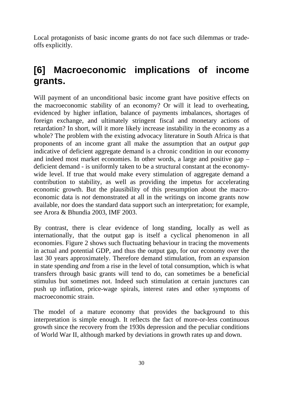Local protagonists of basic income grants do not face such dilemmas or tradeoffs explicitly.

### **[6] Macroeconomic implications of income grants.**

Will payment of an unconditional basic income grant have positive effects on the macroeconomic stability of an economy? Or will it lead to overheating, evidenced by higher inflation, balance of payments imbalances, shortages of foreign exchange, and ultimately stringent fiscal and monetary actions of retardation? In short, will it more likely increase instability in the economy as a whole? The problem with the existing advocacy literature in South Africa is that proponents of an income grant all make the assumption that an *output gap* indicative of deficient aggregate demand is a chronic condition in our economy and indeed most market economies. In other words, a large and positive gap – deficient demand - is uniformly taken to be a structural constant at the economywide level. If true that would make every stimulation of aggregate demand a contribution to stability, as well as providing the impetus for accelerating economic growth. But the plausibility of this presumption about the macroeconomic data is *not* demonstrated at all in the writings on income grants now available, nor does the standard data support such an interpretation; for example, see Arora & Bhundia 2003, IMF 2003.

By contrast, there is clear evidence of long standing, locally as well as internationally, that the output gap is itself a cyclical phenomenon in all economies. Figure 2 shows such fluctuating behaviour in tracing the movements in actual and potential GDP, and thus the output gap, for our economy over the last 30 years approximately. Therefore demand stimulation, from an expansion in state spending *and* from a rise in the level of total consumption, which is what transfers through basic grants will tend to do, can sometimes be a beneficial stimulus but sometimes not. Indeed such stimulation at certain junctures can push up inflation, price-wage spirals, interest rates and other symptoms of macroeconomic strain.

The model of a mature economy that provides the background to this interpretation is simple enough. It reflects the fact of more-or-less continuous growth since the recovery from the 1930s depression and the peculiar conditions of World War II, although marked by deviations in growth rates up and down.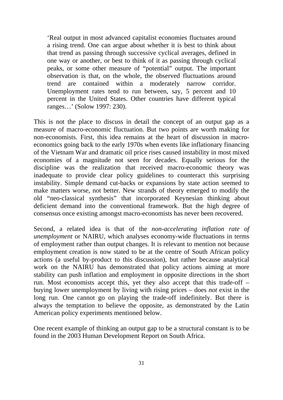'Real output in most advanced capitalist economies fluctuates around a rising trend. One can argue about whether it is best to think about that trend as passing through successive cyclical averages, defined in one way or another, or best to think of it as passing through cyclical peaks, or some other measure of "potential" output. The important observation is that, on the whole, the observed fluctuations around trend are contained within a moderately narrow corridor. Unemployment rates tend to run between, say, 5 percent and 10 percent in the United States. Other countries have different typical ranges…' (Solow 1997: 230).

This is not the place to discuss in detail the concept of an output gap as a measure of macro-economic fluctuation. But two points are worth making for non-economists. First, this idea remains at the heart of discussion in macroeconomics going back to the early 1970s when events like inflationary financing of the Vietnam War and dramatic oil price rises caused instability in most mixed economies of a magnitude not seen for decades. Equally serious for the discipline was the realization that received macro-economic theory was inadequate to provide clear policy guidelines to counteract this surprising instability. Simple demand cut-backs or expansions by state action seemed to make matters worse, not better. New strands of theory emerged to modify the old "neo-classical synthesis" that incorporated Keynesian thinking about deficient demand into the conventional framework. But the high degree of consensus once existing amongst macro-economists has never been recovered.

Second, a related idea is that of the *non-accelerating inflation rate of unemployment* or NAIRU, which analyses economy-wide fluctuations in terms of employment rather than output changes. It is relevant to mention not because employment creation is now stated to be at the centre of South African policy actions (a useful by-product to this discussion), but rather because analytical work on the NAIRU has demonstrated that policy actions aiming at more stability can push inflation and employment in opposite directions in the short run. Most economists accept this, yet they also accept that this trade-off – buying lower unemployment by living with rising prices – does *not* exist in the long run. One cannot go on playing the trade-off indefinitely. But there is always the temptation to believe the opposite, as demonstrated by the Latin American policy experiments mentioned below.

One recent example of thinking an output gap to be a structural constant is to be found in the 2003 Human Development Report on South Africa.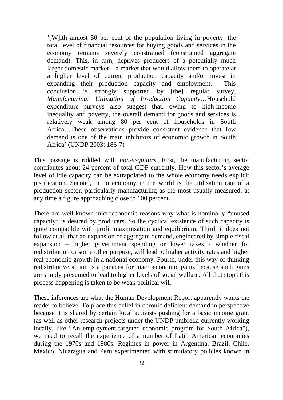'[W]ith almost 50 per cent of the population living in poverty, the total level of financial resources for buying goods and services in the economy remains severely constrained (constrained aggregate demand). This, in turn, deprives producers of a potentially much larger domestic market – a market that would allow them to operate at a higher level of current production capacity and/or invest in expanding their production capacity and employment. This conclusion is strongly supported by [the] regular survey, *Manufacturing: Utilisation of Production Capacity*…Household expenditure surveys also suggest that, owing to high-income inequality and poverty, the overall demand for goods and services is relatively weak among 80 per cent of households in South Africa…These observations provide consistent evidence that low demand is one of the main inhibitors of economic growth in South Africa' (UNDP 2003: 186-7)

This passage is riddled with *non-sequiturs*. First, the manufacturing sector contributes about 24 percent of total GDP currently. How this sector's average level of idle capacity can be extrapolated to the whole economy needs explicit justification. Second, in no economy in the world is the utilisation rate of a production sector, particularly manufacturing as the most usually measured, at any time a figure approaching close to 100 percent.

There are well-known microeconomic reasons why what is nominally "unused capacity" is desired by producers. So the cyclical existence of such capacity is quite compatible with profit maximisation and equilibrium. Third, it does not follow at all that an expansion of aggregate demand, engineered by simple fiscal expansion – higher government spending or lower taxes - whether for redistribution or some other purpose, will lead to higher activity rates and higher real economic growth in a national economy. Fourth, under this way of thinking redistributive action is a panacea for macroeconomic gains because such gains are simply presumed to lead to higher levels of social welfare. All that stops this process happening is taken to be weak political will.

These inferences are what the Human Development Report apparently wants the reader to believe. To place this belief in chronic deficient demand in perspective because it is shared by certain local activists pushing for a basic income grant (as well as other research projects under the UNDP umbrella currently working locally, like "An employment-targeted economic program for South Africa"), we need to recall the experience of a number of Latin American economies during the 1970s and 1980s. Regimes in power in Argentina, Brazil, Chile, Mexico, Nicaragua and Peru experimented with stimulatory policies known in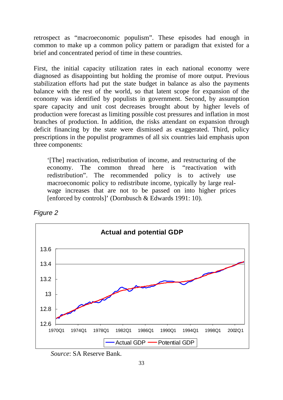retrospect as "macroeconomic populism". These episodes had enough in common to make up a common policy pattern or paradigm that existed for a brief and concentrated period of time in these countries.

First, the initial capacity utilization rates in each national economy were diagnosed as disappointing but holding the promise of more output. Previous stabilization efforts had put the state budget in balance as also the payments balance with the rest of the world, so that latent scope for expansion of the economy was identified by populists in government. Second, by assumption spare capacity and unit cost decreases brought about by higher levels of production were forecast as limiting possible cost pressures and inflation in most branches of production. In addition, the risks attendant on expansion through deficit financing by the state were dismissed as exaggerated. Third, policy prescriptions in the populist programmes of all six countries laid emphasis upon three components:

'[The] reactivation, redistribution of income, and restructuring of the economy. The common thread here is "reactivation with redistribution". The recommended policy is to actively use macroeconomic policy to redistribute income, typically by large realwage increases that are not to be passed on into higher prices [enforced by controls]' (Dornbusch & Edwards 1991: 10).

*Figure 2* 



*Source*: SA Reserve Bank.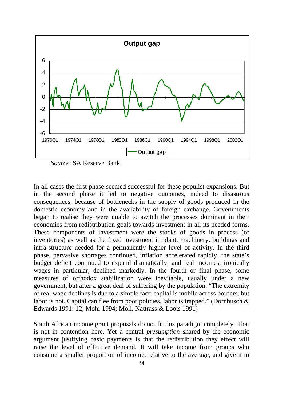

*Source*: SA Reserve Bank.

In all cases the first phase seemed successful for these populist expansions. But in the second phase it led to negative outcomes, indeed to disastrous consequences, because of bottlenecks in the supply of goods produced in the domestic economy and in the availability of foreign exchange. Governments began to realise they were unable to switch the processes dominant in their economies from redistribution goals towards investment in all its needed forms. These components of investment were the stocks of goods in process (or inventories) as well as the fixed investment in plant, machinery, buildings and infra-structure needed for a permanently higher level of activity. In the third phase, pervasive shortages continued, inflation accelerated rapidly, the state's budget deficit continued to expand dramatically, and real incomes, ironically wages in particular, declined markedly. In the fourth or final phase, some measures of orthodox stabilization were inevitable, usually under a new government, but after a great deal of suffering by the population. "The extremity of real wage declines is due to a simple fact: capital is mobile across borders, but labor is not. Capital can flee from poor policies, labor is trapped." (Dornbusch & Edwards 1991: 12; Mohr 1994; Moll, Nattrass & Loots 1991)

South African income grant proposals do not fit this paradigm completely. That is not in contention here. Yet a central *presumption* shared by the economic argument justifying basic payments is that the redistribution they effect will raise the level of effective demand. It will take income from groups who consume a smaller proportion of income, relative to the average, and give it to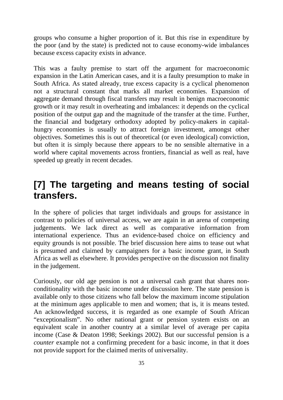groups who consume a higher proportion of it. But this rise in expenditure by the poor (and by the state) is predicted not to cause economy-wide imbalances because excess capacity exists in advance.

This was a faulty premise to start off the argument for macroeconomic expansion in the Latin American cases, and it is a faulty presumption to make in South Africa. As stated already, true excess capacity is a cyclical phenomenon not a structural constant that marks all market economies. Expansion of aggregate demand through fiscal transfers may result in benign macroeconomic growth or it may result in overheating and imbalances: it depends on the cyclical position of the output gap and the magnitude of the transfer at the time. Further, the financial and budgetary orthodoxy adopted by policy-makers in capitalhungry economies is usually to attract foreign investment, amongst other objectives. Sometimes this is out of theoretical (or even ideological) conviction, but often it is simply because there appears to be no sensible alternative in a world where capital movements across frontiers, financial as well as real, have speeded up greatly in recent decades.

#### **[7] The targeting and means testing of social transfers.**

In the sphere of policies that target individuals and groups for assistance in contrast to policies of universal access, we are again in an arena of competing judgements. We lack direct as well as comparative information from international experience. Thus an evidence-based choice on efficiency and equity grounds is not possible. The brief discussion here aims to tease out what is presumed and claimed by campaigners for a basic income grant, in South Africa as well as elsewhere. It provides perspective on the discussion not finality in the judgement.

Curiously, our old age pension is not a universal cash grant that shares nonconditionality with the basic income under discussion here. The state pension is available only to those citizens who fall below the maximum income stipulation at the minimum ages applicable to men and women; that is, it is means tested. An acknowledged success, it is regarded as one example of South African "exceptionalism". No other national grant or pension system exists on an equivalent scale in another country at a similar level of average per capita income (Case & Deaton 1998; Seekings 2002). But our successful pension is a *counter* example not a confirming precedent for a basic income, in that it does not provide support for the claimed merits of universality.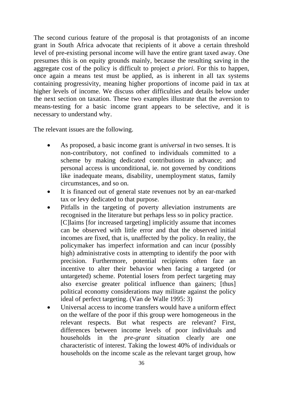The second curious feature of the proposal is that protagonists of an income grant in South Africa advocate that recipients of it above a certain threshold level of pre-existing personal income will have the entire grant taxed away. One presumes this is on equity grounds mainly, because the resulting saving in the aggregate cost of the policy is difficult to project *a priori*. For this to happen, once again a means test must be applied, as is inherent in all tax systems containing progressivity, meaning higher proportions of income paid in tax at higher levels of income. We discuss other difficulties and details below under the next section on taxation. These two examples illustrate that the aversion to means-testing for a basic income grant appears to be selective, and it is necessary to understand why.

The relevant issues are the following.

- As proposed, a basic income grant is *universal* in two senses. It is non-contributory, not confined to individuals committed to a scheme by making dedicated contributions in advance; and personal access is unconditional, ie. not governed by conditions like inadequate means, disability, unemployment status, family circumstances, and so on.
- It is financed out of general state revenues not by an ear-marked tax or levy dedicated to that purpose.
- Pitfalls in the targeting of poverty alleviation instruments are recognised in the literature but perhaps less so in policy practice. [C]laims [for increased targeting] implicitly assume that incomes can be observed with little error and that the observed initial incomes are fixed, that is, unaffected by the policy. In reality, the policymaker has imperfect information and can incur (possibly high) administrative costs in attempting to identify the poor with precision. Furthermore, potential recipients often face an incentive to alter their behavior when facing a targeted (or untargeted) scheme. Potential losers from perfect targeting may also exercise greater political influence than gainers; [thus] political economy considerations may militate against the policy ideal of perfect targeting. (Van de Walle 1995: 3)
- Universal access to income transfers would have a uniform effect on the welfare of the poor if this group were homogeneous in the relevant respects. But what respects are relevant? First, differences between income levels of poor individuals and households in the *pre-grant* situation clearly are one characteristic of interest. Taking the lowest 40% of individuals or households on the income scale as the relevant target group, how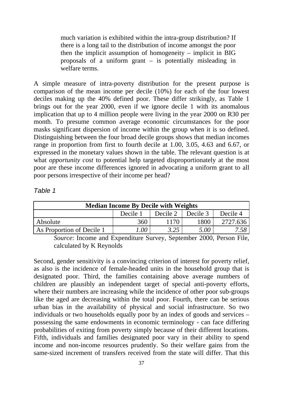much variation is exhibited within the intra-group distribution? If there is a long tail to the distribution of income amongst the poor then the implicit assumption of homogeneity – implicit in BIG proposals of a uniform grant – is potentially misleading in welfare terms.

A simple measure of intra-poverty distribution for the present purpose is comparison of the mean income per decile (10%) for each of the four lowest deciles making up the 40% defined poor. These differ strikingly, as Table 1 brings out for the year 2000, even if we ignore decile 1 with its anomalous implication that up to 4 million people were living in the year 2000 on R30 per month. To presume common average economic circumstances for the poor masks significant dispersion of income within the group when it is so defined. Distinguishing between the four broad decile groups shows that median incomes range in proportion from first to fourth decile at 1.00, 3.05, 4.63 and 6.67, or expressed in the monetary values shown in the table. The relevant question is at what *opportunity cost* to potential help targeted disproportionately at the most poor are these income differences ignored in advocating a uniform grant to all poor persons irrespective of their income per head?

|  | able |  |
|--|------|--|
|--|------|--|

| <b>Median Income By Decile with Weights</b> |          |          |          |          |  |  |  |
|---------------------------------------------|----------|----------|----------|----------|--|--|--|
|                                             | Decile 1 | Decile 2 | Decile 3 | Decile 4 |  |  |  |
| Absolute                                    | 360      | 1170     | 1800     | 2727.636 |  |  |  |
| As Proportion of Decile 1                   | .00      |          | 5.00     | 7.58     |  |  |  |

*Source*: Income and Expenditure Survey, September 2000, Person File, calculated by K Reynolds

Second, gender sensitivity is a convincing criterion of interest for poverty relief, as also is the incidence of female-headed units in the household group that is designated poor. Third, the families containing above average numbers of children are plausibly an independent target of special anti-poverty efforts, where their numbers are increasing while the incidence of other poor sub-groups like the aged are decreasing within the total poor. Fourth, there can be serious urban bias in the availability of physical and social infrastructure. So two individuals or two households equally poor by an index of goods and services – possessing the same endowments in economic terminology - can face differing probabilities of exiting from poverty simply because of their different locations. Fifth, individuals and families designated poor vary in their ability to spend income and non-income resources prudently. So their welfare gains from the same-sized increment of transfers received from the state will differ. That this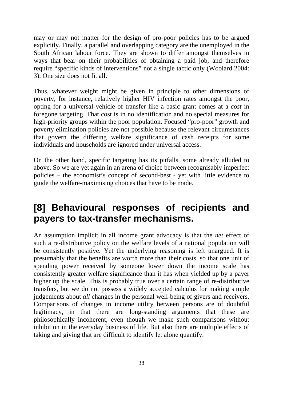may or may not matter for the design of pro-poor policies has to be argued explicitly. Finally, a parallel and overlapping category are the unemployed in the South African labour force. They are shown to differ amongst themselves in ways that bear on their probabilities of obtaining a paid job, and therefore require "specific kinds of interventions" not a single tactic only (Woolard 2004: 3). One size does not fit all.

Thus, whatever weight might be given in principle to other dimensions of poverty, for instance, relatively higher HIV infection rates amongst the poor, opting for a universal vehicle of transfer like a basic grant comes at a *cost* in foregone targeting. That cost is in no identification and no special measures for high-priority groups within the poor population. Focused "pro-poor" growth and poverty elimination policies are not possible because the relevant circumstances that govern the differing welfare significance of cash receipts for some individuals and households are ignored under universal access.

On the other hand, specific targeting has its pitfalls, some already alluded to above. So we are yet again in an arena of choice between recognisably imperfect policies – the economist's concept of second-best - yet with little evidence to guide the welfare-maximising choices that have to be made.

#### **[8] Behavioural responses of recipients and payers to tax-transfer mechanisms.**

An assumption implicit in all income grant advocacy is that the *net* effect of such a re-distributive policy on the welfare levels of a national population will be consistently positive. Yet the underlying reasoning is left unargued. It is presumably that the benefits are worth more than their costs, so that one unit of spending power received by someone lower down the income scale has consistently greater welfare significance than it has when yielded up by a payer higher up the scale. This is probably true over a certain range of re-distributive transfers, but we do not possess a widely accepted calculus for making simple judgements about *all* changes in the personal well-being of givers and receivers. Comparisons of changes in income utility between persons are of doubtful legitimacy, in that there are long-standing arguments that these are philosophically incoherent, even though we make such comparisons without inhibition in the everyday business of life. But also there are multiple effects of taking and giving that are difficult to identify let alone quantify.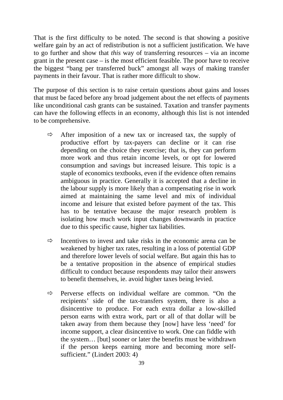That is the first difficulty to be noted. The second is that showing a positive welfare gain by an act of redistribution is not a sufficient justification. We have to go further and show that *this* way of transferring resources – via an income grant in the present case – is the most efficient feasible. The poor have to receive the biggest "bang per transferred buck" amongst all ways of making transfer payments in their favour. That is rather more difficult to show.

The purpose of this section is to raise certain questions about gains and losses that must be faced before any broad judgement about the net effects of payments like unconditional cash grants can be sustained. Taxation and transfer payments can have the following effects in an economy, although this list is not intended to be comprehensive.

- $\Rightarrow$  After imposition of a new tax or increased tax, the supply of productive effort by tax-payers can decline or it can rise depending on the choice they exercise; that is, they can perform more work and thus retain income levels, or opt for lowered consumption and savings but increased leisure. This topic is a staple of economics textbooks, even if the evidence often remains ambiguous in practice. Generally it is accepted that a decline in the labour supply is more likely than a compensating rise in work aimed at maintaining the same level and mix of individual income and leisure that existed before payment of the tax. This has to be tentative because the major research problem is isolating how much work input changes downwards in practice due to this specific cause, higher tax liabilities.
- $\Rightarrow$  Incentives to invest and take risks in the economic arena can be weakened by higher tax rates, resulting in a loss of potential GDP and therefore lower levels of social welfare. But again this has to be a tentative proposition in the absence of empirical studies difficult to conduct because respondents may tailor their answers to benefit themselves, ie. avoid higher taxes being levied.
- $\Rightarrow$  Perverse effects on individual welfare are common. "On the recipients' side of the tax-transfers system, there is also a disincentive to produce. For each extra dollar a low-skilled person earns with extra work, part or all of that dollar will be taken away from them because they [now] have less 'need' for income support, a clear disincentive to work. One can fiddle with the system… [but] sooner or later the benefits must be withdrawn if the person keeps earning more and becoming more selfsufficient." (Lindert 2003: 4)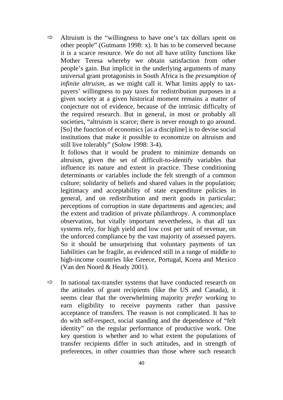$\Rightarrow$  Altruism is the "willingness to have one's tax dollars spent on other people" (Gutmann 1998: x). It has to be conserved because it is a scarce resource. We do not all have utility functions like Mother Teresa whereby we obtain satisfaction from other people's gain. But implicit in the underlying arguments of many universal grant protagonists in South Africa is the *presumption of infinite altruism*, as we might call it. What limits apply to taxpayers' willingness to pay taxes for redistribution purposes in a given society at a given historical moment remains a matter of conjecture not of evidence, because of the intrinsic difficulty of the required research. But in general, in most or probably all societies, "altruism is scarce; there is never enough to go around. [So] the function of economics [as a discipline] is to devise social institutions that make it possible to economize on altruism and still live tolerably" (Solow 1998: 3-4).

It follows that it would be prudent to minimize demands on altruism, given the set of difficult-to-identify variables that influence its nature and extent in practice. These conditioning determinants or variables include the felt strength of a common culture; solidarity of beliefs and shared values in the population; legitimacy and acceptability of state expenditure policies in general, and on redistribution and merit goods in particular; perceptions of corruption in state departments and agencies; and the extent and tradition of private philanthropy. A commonplace observation, but vitally important nevertheless, is that all tax systems rely, for high yield and low cost per unit of revenue, on the unforced compliance by the vast majority of assessed payers. So it should be unsurprising that voluntary payments of tax liabilities can be fragile, as evidenced still in a range of middle to high-income countries like Greece, Portugal, Korea and Mexico (Van den Noord & Heady 2001).

 $\Rightarrow$  In national tax-transfer systems that have conducted research on the attitudes of grant recipients (like the US and Canada), it seems clear that the overwhelming majority *prefer* working to earn eligibility to receive payments rather than passive acceptance of transfers. The reason is not complicated. It has to do with self-respect, social standing and the dependence of "felt identity" on the regular performance of productive work. One key question is whether and to what extent the populations of transfer recipients differ in such attitudes, and in strength of preferences, in other countries than those where such research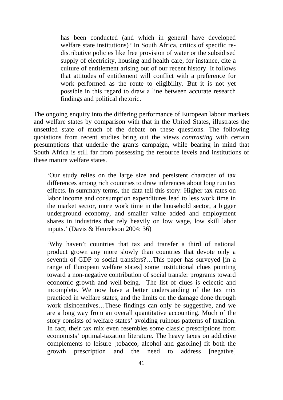has been conducted (and which in general have developed welfare state institutions)? In South Africa, critics of specific redistributive policies like free provision of water or the subsidised supply of electricity, housing and health care, for instance, cite a culture of entitlement arising out of our recent history. It follows that attitudes of entitlement will conflict with a preference for work performed as the route to eligibility. But it is not yet possible in this regard to draw a line between accurate research findings and political rhetoric.

The ongoing enquiry into the differing performance of European labour markets and welfare states by comparison with that in the United States, illustrates the unsettled state of much of the debate on these questions. The following quotations from recent studies bring out the views *contrasting* with certain presumptions that underlie the grants campaign, while bearing in mind that South Africa is still far from possessing the resource levels and institutions of these mature welfare states.

'Our study relies on the large size and persistent character of tax differences among rich countries to draw inferences about long run tax effects. In summary terms, the data tell this story: Higher tax rates on labor income and consumption expenditures lead to less work time in the market sector, more work time in the household sector, a bigger underground economy, and smaller value added and employment shares in industries that rely heavily on low wage, low skill labor inputs.' (Davis & Henrekson 2004: 36)

'Why haven't countries that tax and transfer a third of national product grown any more slowly than countries that devote only a seventh of GDP to social transfers?...This paper has surveyed [in a range of European welfare states] some institutional clues pointing toward a non-negative contribution of social transfer programs toward economic growth and well-being. The list of clues is eclectic and incomplete. We now have a better understanding of the tax mix practiced in welfare states, and the limits on the damage done through work disincentives…These findings can only be suggestive, and we are a long way from an overall quantitative accounting. Much of the story consists of welfare states' avoiding ruinous patterns of taxation. In fact, their tax mix even resembles some classic prescriptions from economists' optimal-taxation literature. The heavy taxes on addictive complements to leisure [tobacco, alcohol and gasoline] fit both the growth prescription and the need to address [negative]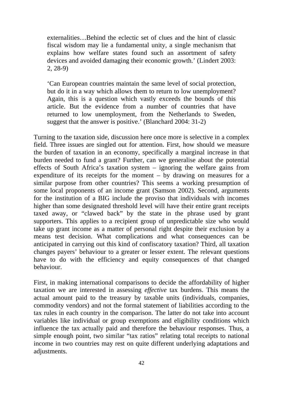externalities…Behind the eclectic set of clues and the hint of classic fiscal wisdom may lie a fundamental unity, a single mechanism that explains how welfare states found such an assortment of safety devices and avoided damaging their economic growth.' (Lindert 2003: 2, 28-9)

'Can European countries maintain the same level of social protection, but do it in a way which allows them to return to low unemployment? Again, this is a question which vastly exceeds the bounds of this article. But the evidence from a number of countries that have returned to low unemployment, from the Netherlands to Sweden, suggest that the answer is positive.' (Blanchard 2004: 31-2)

Turning to the taxation side, discussion here once more is selective in a complex field. Three issues are singled out for attention. First, how should we measure the burden of taxation in an economy, specifically a marginal increase in that burden needed to fund a grant? Further, can we generalise about the potential effects of South Africa's taxation system – ignoring the welfare gains from expenditure of its receipts for the moment – by drawing on measures for a similar purpose from other countries? This seems a working presumption of some local proponents of an income grant (Samson 2002). Second, arguments for the institution of a BIG include the proviso that individuals with incomes higher than some designated threshold level will have their entire grant receipts taxed away, or "clawed back" by the state in the phrase used by grant supporters. This applies to a recipient group of unpredictable size who would take up grant income as a matter of personal right despite their exclusion by a means test decision. What complications and what consequences can be anticipated in carrying out this kind of confiscatory taxation? Third, all taxation changes payers' behaviour to a greater or lesser extent. The relevant questions have to do with the efficiency and equity consequences of that changed behaviour.

First, in making international comparisons to decide the affordability of higher taxation we are interested in assessing *effective* tax burdens. This means the actual amount paid to the treasury by taxable units (individuals, companies, commodity vendors) and not the formal statement of liabilities according to the tax rules in each country in the comparison. The latter do not take into account variables like individual or group exemptions and eligibility conditions which influence the tax actually paid and therefore the behaviour responses. Thus, a simple enough point, two similar "tax ratios" relating total receipts to national income in two countries may rest on quite different underlying adaptations and adjustments.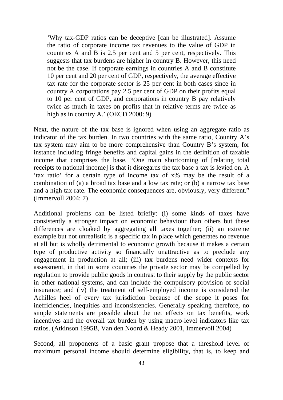'Why tax-GDP ratios can be deceptive [can be illustrated]. Assume the ratio of corporate income tax revenues to the value of GDP in countries A and B is 2.5 per cent and 5 per cent, respectively. This suggests that tax burdens are higher in country B. However, this need not be the case. If corporate earnings in countries A and B constitute 10 per cent and 20 per cent of GDP, respectively, the average effective tax rate for the corporate sector is 25 per cent in both cases since in country A corporations pay 2.5 per cent of GDP on their profits equal to 10 per cent of GDP, and corporations in country B pay relatively twice as much in taxes on profits that in relative terms are twice as high as in country A.' (OECD 2000: 9)

Next, the nature of the tax base is ignored when using an aggregate ratio as indicator of the tax burden. In two countries with the same ratio, Country A's tax system may aim to be more comprehensive than Country B's system, for instance including fringe benefits and capital gains in the definition of taxable income that comprises the base. "One main shortcoming of [relating total receipts to national income] is that it disregards the tax base a tax is levied on. A 'tax ratio' for a certain type of income tax of x% may be the result of a combination of (a) a broad tax base and a low tax rate; or (b) a narrow tax base and a high tax rate. The economic consequences are, obviously, very different." (Immervoll 2004: 7)

Additional problems can be listed briefly: (i) some kinds of taxes have consistently a stronger impact on economic behaviour than others but these differences are cloaked by aggregating all taxes together; (ii) an extreme example but not unrealistic is a specific tax in place which generates no revenue at all but is wholly detrimental to economic growth because it makes a certain type of productive activity so financially unattractive as to preclude any engagement in production at all; (iii) tax burdens need wider contexts for assessment, in that in some countries the private sector may be compelled by regulation to provide public goods in contrast to their supply by the public sector in other national systems, and can include the compulsory provision of social insurance; and (iv) the treatment of self-employed income is considered the Achilles heel of every tax jurisdiction because of the scope it poses for inefficiencies, inequities and inconsistencies. Generally speaking therefore, no simple statements are possible about the net effects on tax benefits, work incentives and the overall tax burden by using macro-level indicators like tax ratios. (Atkinson 1995B, Van den Noord & Heady 2001, Immervoll 2004)

Second, all proponents of a basic grant propose that a threshold level of maximum personal income should determine eligibility, that is, to keep and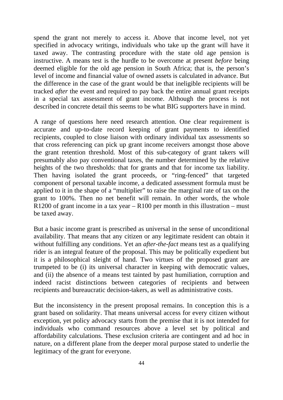spend the grant not merely to access it. Above that income level, not yet specified in advocacy writings, individuals who take up the grant will have it taxed away. The contrasting procedure with the state old age pension is instructive. A means test is the hurdle to be overcome at present *before* being deemed eligible for the old age pension in South Africa; that is, the person's level of income and financial value of owned assets is calculated in advance. But the difference in the case of the grant would be that ineligible recipients will be tracked *after* the event and required to pay back the entire annual grant receipts in a special tax assessment of grant income. Although the process is not described in concrete detail this seems to be what BIG supporters have in mind.

A range of questions here need research attention. One clear requirement is accurate and up-to-date record keeping of grant payments to identified recipients, coupled to close liaison with ordinary individual tax assessments so that cross referencing can pick up grant income receivers amongst those above the grant retention threshold. Most of this sub-category of grant takers will presumably also pay conventional taxes, the number determined by the relative heights of the two thresholds: that for grants and that for income tax liability. Then having isolated the grant proceeds, or "ring-fenced" that targeted component of personal taxable income, a dedicated assessment formula must be applied to it in the shape of a "multiplier" to raise the marginal rate of tax on the grant to 100%. Then no net benefit will remain. In other words, the whole R1200 of grant income in a tax year  $-$  R100 per month in this illustration – must be taxed away.

But a basic income grant is prescribed as universal in the sense of unconditional availability. That means that any citizen or any legitimate resident can obtain it without fulfilling any conditions. Yet an *after-the-fact* means test as a qualifying rider is an integral feature of the proposal. This may be politically expedient but it is a philosophical sleight of hand. Two virtues of the proposed grant are trumpeted to be (i) its universal character in keeping with democratic values, and (ii) the absence of a means test tainted by past humiliation, corruption and indeed racist distinctions between categories of recipients and between recipients and bureaucratic decision-takers, as well as administrative costs.

But the inconsistency in the present proposal remains. In conception this is a grant based on solidarity. That means universal access for every citizen without exception, yet policy advocacy starts from the premise that it is not intended for individuals who command resources above a level set by political and affordability calculations. These exclusion criteria are contingent and ad hoc in nature, on a different plane from the deeper moral purpose stated to underlie the legitimacy of the grant for everyone.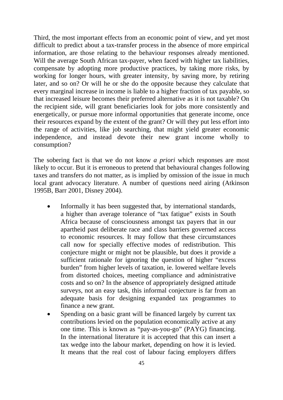Third, the most important effects from an economic point of view, and yet most difficult to predict about a tax-transfer process in the absence of more empirical information, are those relating to the behaviour responses already mentioned. Will the average South African tax-payer, when faced with higher tax liabilities, compensate by adopting more productive practices, by taking more risks, by working for longer hours, with greater intensity, by saving more, by retiring later, and so on? Or will he or she do the opposite because they calculate that every marginal increase in income is liable to a higher fraction of tax payable, so that increased leisure becomes their preferred alternative as it is not taxable? On the recipient side, will grant beneficiaries look for jobs more consistently and energetically, or pursue more informal opportunities that generate income, once their resources expand by the extent of the grant? Or will they put less effort into the range of activities, like job searching, that might yield greater economic independence, and instead devote their new grant income wholly to consumption?

The sobering fact is that we do not know *a priori* which responses are most likely to occur. But it is erroneous to pretend that behavioural changes following taxes and transfers do not matter, as is implied by omission of the issue in much local grant advocacy literature. A number of questions need airing (Atkinson 1995B, Barr 2001, Disney 2004).

- Informally it has been suggested that, by international standards, a higher than average tolerance of "tax fatigue" exists in South Africa because of consciousness amongst tax payers that in our apartheid past deliberate race and class barriers governed access to economic resources. It may follow that these circumstances call now for specially effective modes of redistribution. This conjecture might or might not be plausible, but does it provide a sufficient rationale for ignoring the question of higher "excess burden" from higher levels of taxation, ie. lowered welfare levels from distorted choices, meeting compliance and administrative costs and so on? In the absence of appropriately designed attitude surveys, not an easy task, this informal conjecture is far from an adequate basis for designing expanded tax programmes to finance a new grant.
- Spending on a basic grant will be financed largely by current tax contributions levied on the population economically active at any one time. This is known as "pay-as-you-go" (PAYG) financing. In the international literature it is accepted that this can insert a tax wedge into the labour market, depending on how it is levied. It means that the real cost of labour facing employers differs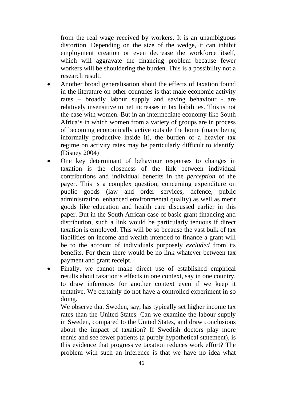from the real wage received by workers. It is an unambiguous distortion. Depending on the size of the wedge, it can inhibit employment creation or even decrease the workforce itself, which will aggravate the financing problem because fewer workers will be shouldering the burden. This is a possibility not a research result.

- Another broad generalisation about the effects of taxation found in the literature on other countries is that male economic activity rates – broadly labour supply and saving behaviour - are relatively insensitive to net increases in tax liabilities. This is not the case with women. But in an intermediate economy like South Africa's in which women from a variety of groups are in process of becoming economically active outside the home (many being informally productive inside it), the burden of a heavier tax regime on activity rates may be particularly difficult to identify. (Disney 2004)
- One key determinant of behaviour responses to changes in taxation is the closeness of the link between individual contributions and individual benefits in the *perception* of the payer. This is a complex question, concerning expenditure on public goods (law and order services, defence, public administration, enhanced environmental quality) as well as merit goods like education and health care discussed earlier in this paper. But in the South African case of basic grant financing and distribution, such a link would be particularly tenuous if direct taxation is employed. This will be so because the vast bulk of tax liabilities on income and wealth intended to finance a grant will be to the account of individuals purposely *excluded* from its benefits. For them there would be no link whatever between tax payment and grant receipt.
- Finally, we cannot make direct use of established empirical results about taxation's effects in one context, say in one country, to draw inferences for another context even if we keep it tentative. We certainly do not have a controlled experiment in so doing.

 We observe that Sweden, say, has typically set higher income tax rates than the United States. Can we examine the labour supply in Sweden, compared to the United States, and draw conclusions about the impact of taxation? If Swedish doctors play more tennis and see fewer patients (a purely hypothetical statement), is this evidence that progressive taxation reduces work effort? The problem with such an inference is that we have no idea what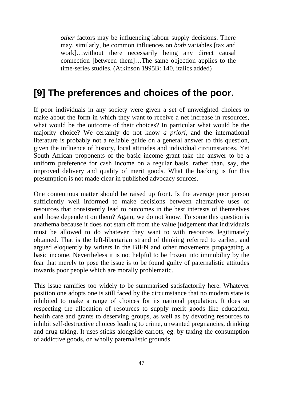*other* factors may be influencing labour supply decisions. There may, similarly, be common influences on *both* variables [tax and work]…without there necessarily being any direct causal connection [between them]…The same objection applies to the time-series studies. (Atkinson 1995B: 140, italics added)

#### **[9] The preferences and choices of the poor.**

If poor individuals in any society were given a set of unweighted choices to make about the form in which they want to receive a net increase in resources, what would be the outcome of their choices? In particular what would be the majority choice? We certainly do not know *a priori*, and the international literature is probably not a reliable guide on a general answer to this question, given the influence of history, local attitudes and individual circumstances. Yet South African proponents of the basic income grant take the answer to be a uniform preference for cash income on a regular basis, rather than, say, the improved delivery and quality of merit goods. What the backing is for this presumption is not made clear in published advocacy sources.

One contentious matter should be raised up front. Is the average poor person sufficiently well informed to make decisions between alternative uses of resources that consistently lead to outcomes in the best interests of themselves and those dependent on them? Again, we do not know. To some this question is anathema because it does not start off from the value judgement that individuals must be allowed to do whatever they want to with resources legitimately obtained. That is the left-libertarian strand of thinking referred to earlier, and argued eloquently by writers in the BIEN and other movements propagating a basic income. Nevertheless it is not helpful to be frozen into immobility by the fear that merely to pose the issue is to be found guilty of paternalistic attitudes towards poor people which are morally problematic.

This issue ramifies too widely to be summarised satisfactorily here. Whatever position one adopts one is still faced by the circumstance that no modern state is inhibited to make a range of choices for its national population. It does so respecting the allocation of resources to supply merit goods like education, health care and grants to deserving groups, as well as by devoting resources to inhibit self-destructive choices leading to crime, unwanted pregnancies, drinking and drug-taking. It uses sticks alongside carrots, eg. by taxing the consumption of addictive goods, on wholly paternalistic grounds.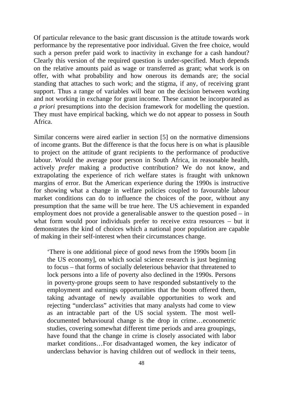Of particular relevance to the basic grant discussion is the attitude towards work performance by the representative poor individual. Given the free choice, would such a person prefer paid work to inactivity in exchange for a cash handout? Clearly this version of the required question is under-specified. Much depends on the relative amounts paid as wage or transferred as grant; what work is on offer, with what probability and how onerous its demands are; the social standing that attaches to such work; and the stigma, if any, of receiving grant support. Thus a range of variables will bear on the decision between working and not working in exchange for grant income. These cannot be incorporated as *a priori* presumptions into the decision framework for modelling the question. They must have empirical backing, which we do not appear to possess in South Africa.

Similar concerns were aired earlier in section [5] on the normative dimensions of income grants. But the difference is that the focus here is on what is plausible to project on the attitude of grant recipients to the performance of productive labour. Would the average poor person in South Africa, in reasonable health, actively *prefer* making a productive contribution? We do not know, and extrapolating the experience of rich welfare states is fraught with unknown margins of error. But the American experience during the 1990s is instructive for showing what a change in welfare policies coupled to favourable labour market conditions can do to influence the choices of the poor, without any presumption that the same will be true here. The US achievement in expanded employment does not provide a generalisable answer to the question posed – in what form would poor individuals prefer to receive extra resources – but it demonstrates the kind of choices which a national poor population are capable of making in their self-interest when their circumstances change.

'There is one additional piece of good news from the 1990s boom [in the US economy], on which social science research is just beginning to focus – that forms of socially deleterious behavior that threatened to lock persons into a life of poverty also declined in the 1990s. Persons in poverty-prone groups seem to have responded substantively to the employment and earnings opportunities that the boom offered them, taking advantage of newly available opportunities to work and rejecting "underclass" activities that many analysts had come to view as an intractable part of the US social system. The most welldocumented behavioural change is the drop in crime…econometric studies, covering somewhat different time periods and area groupings, have found that the change in crime is closely associated with labor market conditions…For disadvantaged women, the key indicator of underclass behavior is having children out of wedlock in their teens,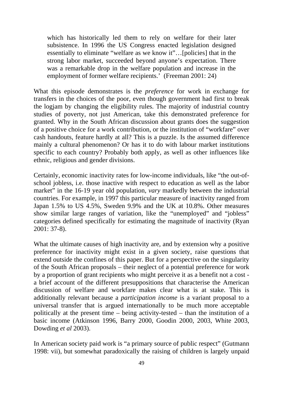which has historically led them to rely on welfare for their later subsistence. In 1996 the US Congress enacted legislation designed essentially to eliminate "welfare as we know it"…[policies] that in the strong labor market, succeeded beyond anyone's expectation. There was a remarkable drop in the welfare population and increase in the employment of former welfare recipients.' (Freeman 2001: 24)

What this episode demonstrates is the *preference* for work in exchange for transfers in the choices of the poor, even though government had first to break the logjam by changing the eligibility rules. The majority of industrial country studies of poverty, not just American, take this demonstrated preference for granted. Why in the South African discussion about grants does the suggestion of a positive choice for a work contribution, or the institution of "workfare" over cash handouts, feature hardly at all? This is a puzzle. Is the assumed difference mainly a cultural phenomenon? Or has it to do with labour market institutions specific to each country? Probably both apply, as well as other influences like ethnic, religious and gender divisions.

Certainly, economic inactivity rates for low-income individuals, like "the out-ofschool jobless, i.e. those inactive with respect to education as well as the labor market" in the 16-19 year old population, *vary* markedly between the industrial countries. For example, in 1997 this particular measure of inactivity ranged from Japan 1.5% to US 4.5%, Sweden 9.9% and the UK at 10.8%. Other measures show similar large ranges of variation, like the "unemployed" and "jobless" categories defined specifically for estimating the magnitude of inactivity (Ryan 2001: 37-8).

What the ultimate causes of high inactivity are, and by extension why a positive preference for inactivity might exist in a given society, raise questions that extend outside the confines of this paper. But for a perspective on the singularity of the South African proposals – their neglect of a potential preference for work by a proportion of grant recipients who might perceive it as a benefit not a cost a brief account of the different presuppositions that characterise the American discussion of welfare and workfare makes clear what is at stake. This is additionally relevant because a *participation income* is a variant proposal to a universal transfer that is argued internationally to be much more acceptable politically at the present time – being activity-tested – than the institution of a basic income (Atkinson 1996, Barry 2000, Goodin 2000, 2003, White 2003, Dowding *et al* 2003).

In American society paid work is "a primary source of public respect" (Gutmann 1998: vii), but somewhat paradoxically the raising of children is largely unpaid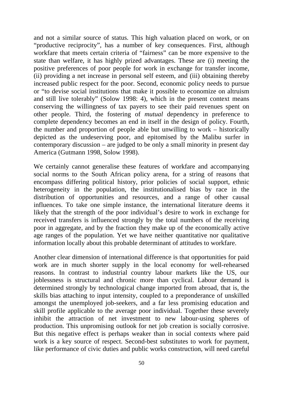and not a similar source of status. This high valuation placed on work, or on "productive reciprocity", has a number of key consequences. First, although workfare that meets certain criteria of "fairness" can be more expensive to the state than welfare, it has highly prized advantages. These are (i) meeting the positive preferences of poor people for work in exchange for transfer income, (ii) providing a net increase in personal self esteem, and (iii) obtaining thereby increased public respect for the poor. Second, economic policy needs to pursue or "to devise social institutions that make it possible to economize on altruism and still live tolerably" (Solow 1998: 4), which in the present context means conserving the willingness of tax payers to see their paid revenues spent on other people. Third, the fostering of *mutual* dependency in preference to complete dependency becomes an end in itself in the design of policy. Fourth, the number and proportion of people able but unwilling to work – historically depicted as the undeserving poor, and epitomised by the Malibu surfer in contemporary discussion – are judged to be only a small minority in present day America (Gutmann 1998, Solow 1998).

We certainly cannot generalise these features of workfare and accompanying social norms to the South African policy arena, for a string of reasons that encompass differing political history, prior policies of social support, ethnic heterogeneity in the population, the institutionalised bias by race in the distribution of opportunities and resources, and a range of other causal influences. To take one simple instance, the international literature deems it likely that the strength of the poor individual's desire to work in exchange for received transfers is influenced strongly by the total numbers of the receiving poor in aggregate, and by the fraction they make up of the economically active age ranges of the population. Yet we have neither quantitative nor qualitative information locally about this probable determinant of attitudes to workfare.

Another clear dimension of international difference is that opportunities for paid work are in much shorter supply in the local economy for well-rehearsed reasons. In contrast to industrial country labour markets like the US, our joblessness is structural and chronic more than cyclical. Labour demand is determined strongly by technological change imported from abroad, that is, the skills bias attaching to input intensity, coupled to a preponderance of unskilled amongst the unemployed job-seekers, and a far less promising education and skill profile applicable to the average poor individual. Together these severely inhibit the attraction of net investment to new labour-using spheres of production. This unpromising outlook for net job creation is socially corrosive. But this negative effect is perhaps weaker than in social contexts where paid work is a key source of respect. Second-best substitutes to work for payment, like performance of civic duties and public works construction, will need careful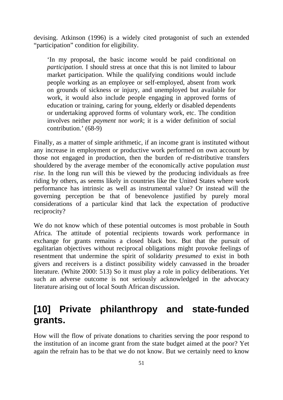devising. Atkinson (1996) is a widely cited protagonist of such an extended "participation" condition for eligibility.

'In my proposal, the basic income would be paid conditional on *participation.* I should stress at once that this is not limited to labour market participation. While the qualifying conditions would include people working as an employee or self-employed, absent from work on grounds of sickness or injury, and unemployed but available for work, it would also include people engaging in approved forms of education or training, caring for young, elderly or disabled dependents or undertaking approved forms of voluntary work, etc. The condition involves neither *payment* nor *work*; it is a wider definition of social contribution.' (68-9)

Finally, as a matter of simple arithmetic, if an income grant is instituted without any increase in employment or productive work performed on own account by those not engaged in production, then the burden of re-distributive transfers shouldered by the average member of the economically active population *must rise*. In the long run will this be viewed by the producing individuals as free riding by others, as seems likely in countries like the United States where work performance has intrinsic as well as instrumental value? Or instead will the governing perception be that of benevolence justified by purely moral considerations of a particular kind that lack the expectation of productive reciprocity?

We do not know which of these potential outcomes is most probable in South Africa. The attitude of potential recipients towards work performance in exchange for grants remains a closed black box. But that the pursuit of egalitarian objectives without reciprocal obligations might provoke feelings of resentment that undermine the spirit of solidarity *presumed* to exist in both givers and receivers is a distinct possibility widely canvassed in the broader literature. (White 2000: 513) So it must play a role in policy deliberations. Yet such an adverse outcome is not seriously acknowledged in the advocacy literature arising out of local South African discussion.

### **[10] Private philanthropy and state-funded grants.**

How will the flow of private donations to charities serving the poor respond to the institution of an income grant from the state budget aimed at the poor? Yet again the refrain has to be that we do not know. But we certainly need to know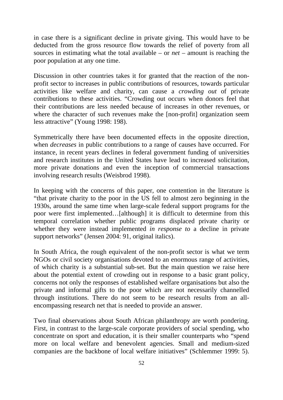in case there is a significant decline in private giving. This would have to be deducted from the gross resource flow towards the relief of poverty from all sources in estimating what the total available – or *net* – amount is reaching the poor population at any one time.

Discussion in other countries takes it for granted that the reaction of the nonprofit sector to increases in public contributions of resources, towards particular activities like welfare and charity, can cause a *crowding out* of private contributions to these activities. "Crowding out occurs when donors feel that their contributions are less needed because of increases in other revenues, or where the character of such revenues make the [non-profit] organization seem less attractive" (Young 1998: 198).

Symmetrically there have been documented effects in the opposite direction, when *decreases* in public contributions to a range of causes have occurred. For instance, in recent years declines in federal government funding of universities and research institutes in the United States have lead to increased solicitation, more private donations and even the inception of commercial transactions involving research results (Weisbrod 1998).

In keeping with the concerns of this paper, one contention in the literature is "that private charity to the poor in the US fell to almost zero beginning in the 1930s, around the same time when large-scale federal support programs for the poor were first implemented…[although] it is difficult to determine from this temporal correlation whether public programs displaced private charity or whether they were instead implemented *in response to* a decline in private support networks" (Jensen 2004: 91, original italics).

In South Africa, the rough equivalent of the non-profit sector is what we term NGOs or civil society organisations devoted to an enormous range of activities, of which charity is a substantial sub-set. But the main question we raise here about the potential extent of crowding out in response to a basic grant policy, concerns not only the responses of established welfare organisations but also the private and informal gifts to the poor which are not necessarily channelled through institutions. There do not seem to be research results from an allencompassing research net that is needed to provide an answer.

Two final observations about South African philanthropy are worth pondering. First, in contrast to the large-scale corporate providers of social spending, who concentrate on sport and education, it is their smaller counterparts who "spend more on local welfare and benevolent agencies. Small and medium-sized companies are the backbone of local welfare initiatives" (Schlemmer 1999: 5).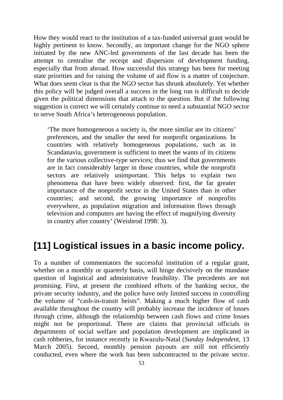How they would react to the institution of a tax-funded universal grant would be highly pertinent to know. Secondly, an important change for the NGO sphere initiated by the new ANC-led governments of the last decade has been the attempt to centralise the receipt and dispersion of development funding, especially that from abroad. How successful this strategy has been for meeting state priorities and for raising the volume of aid flow is a matter of conjecture. What does seem clear is that the NGO sector has shrunk absolutely. Yet whether this policy will be judged overall a success in the long run is difficult to decide given the political dimensions that attach to the question. But if the following suggestion is correct we will certainly continue to need a substantial NGO sector to serve South Africa's heterogeneous population.

'The more homogeneous a society is, the more similar are its citizens' preferences, and the smaller the need for nonprofit organizations. In countries with relatively homogeneous populations, such as in Scandanavia, government is sufficient to meet the wants of its citizens for the various collective-type services; thus we find that governments are in fact considerably larger in those countries, while the nonprofit sectors are relatively unimportant. This helps to explain two phenomena that have been widely observed: first, the far greater importance of the nonprofit sector in the United States than in other countries; and second, the growing importance of nonprofits everywhere, as population migration and information flows through television and computers are having the effect of magnifying diversity in country after country' (Weisbrod 1998: 3).

#### **[11] Logistical issues in a basic income policy.**

To a number of commentators the successful institution of a regular grant, whether on a monthly or quarterly basis, will hinge decisively on the mundane question of logistical and administrative feasibility. The precedents are not promising. First, at present the combined efforts of the banking sector, the private security industry, and the police have only limited success in controlling the volume of "cash-in-transit heists". Making a much higher flow of cash available throughout the country will probably increase the incidence of losses through crime, although the relationship between cash flows and crime losses might not be proportional. There are claims that provincial officials in departments of social welfare and population development are implicated in cash robberies, for instance recently in Kwazulu-Natal (*Sunday Independent*, 13 March 2005). Second, monthly pension payouts are still not efficiently conducted, even where the work has been subcontracted to the private sector.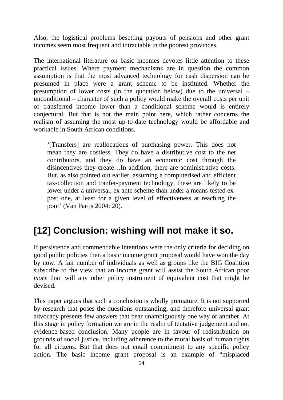Also, the logistical problems besetting payouts of pensions and other grant incomes seem most frequent and intractable in the poorest provinces.

The international literature on basic incomes devotes little attention to these practical issues. Where payment mechanisms are in question the common assumption is that the most advanced technology for cash dispersion can be presumed in place were a grant scheme to be instituted. Whether the presumption of lower costs (in the quotation below) due to the universal – unconditional – character of such a policy would make the overall costs per unit of transferred income lower than a conditional scheme would is entirely conjectural. But that is not the main point here, which rather concerns the realism of assuming the most up-to-date technology would be affordable and workable in South African conditions.

'[Transfers] are reallocations of purchasing power. This does not mean they are costless. They do have a distributive cost to the net contributors, and they do have an economic cost through the disincentives they create…In addition, there are administrative costs. But, as also pointed out earlier, assuming a computerised and efficient tax-collection and tranfer-payment technology, these are likely to be lower under a universal, ex ante scheme than under a means-tested expost one, at least for a given level of effectiveness at reaching the poor' (Van Parijs 2004: 20).

### **[12] Conclusion: wishing will not make it so.**

If persistence and commendable intentions were the only criteria for deciding on good public policies then a basic income grant proposal would have won the day by now. A fair number of individuals as well as groups like the BIG Coalition subscribe to the view that an income grant will assist the South African poor *more* than will any other policy instrument of equivalent cost that might be devised.

This paper argues that such a conclusion is wholly premature. It is not supported by research that poses the questions outstanding, and therefore universal grant advocacy presents few answers that bear unambiguously one way or another. At this stage in policy formation we are in the realm of tentative judgement and not evidence-based conclusion. Many people are in favour of redistribution on grounds of social justice, including adherence to the moral basis of human rights for all citizens. But that does not entail commitment to any specific policy action. The basic income grant proposal is an example of "misplaced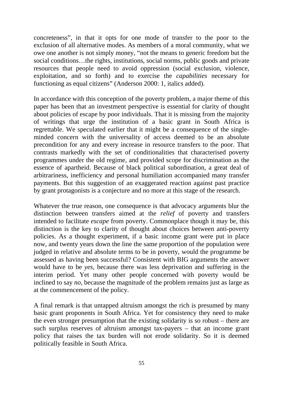concreteness", in that it opts for one mode of transfer to the poor to the exclusion of all alternative modes. As members of a moral community, what we owe one another is not simply money, "not the means to generic freedom but the social conditions…the rights, institutions, social norms, public goods and private resources that people need to avoid oppression (social exclusion, violence, exploitation, and so forth) and to exercise the *capabilities* necessary for functioning as equal citizens" (Anderson 2000: 1, italics added).

In accordance with this conception of the poverty problem, a major theme of this paper has been that an investment perspective is essential for clarity of thought about policies of escape by poor individuals. That it is missing from the majority of writings that urge the institution of a basic grant in South Africa is regrettable. We speculated earlier that it might be a consequence of the singleminded concern with the universality of access deemed to be an absolute precondition for any and every increase in resource transfers to the poor. That contrasts markedly with the set of conditionalities that characterised poverty programmes under the old regime, and provided scope for discrimination as the essence of apartheid. Because of black political subordination, a great deal of arbitrariness, inefficiency and personal humiliation accompanied many transfer payments. But this suggestion of an exaggerated reaction against past practice by grant protagonists is a conjecture and no more at this stage of the research.

Whatever the true reason, one consequence is that advocacy arguments blur the distinction between transfers aimed at the *relief* of poverty and transfers intended to facilitate *escape* from poverty. Commonplace though it may be, this distinction is the key to clarity of thought about choices between anti-poverty policies. As a thought experiment, if a basic income grant were put in place now, and twenty years down the line the same proportion of the population were judged in relative and absolute terms to be in poverty, would the programme be assessed as having been successful? Consistent with BIG arguments the answer would have to be *yes*, because there was less deprivation and suffering in the interim period. Yet many other people concerned with poverty would be inclined to say *no,* because the magnitude of the problem remains just as large as at the commencement of the policy.

A final remark is that untapped altruism amongst the rich is presumed by many basic grant proponents in South Africa. Yet for consistency they need to make the even stronger presumption that the existing solidarity is so robust – there are such surplus reserves of altruism amongst tax-payers – that an income grant policy that raises the tax burden will not erode solidarity. So it is deemed politically feasible in South Africa.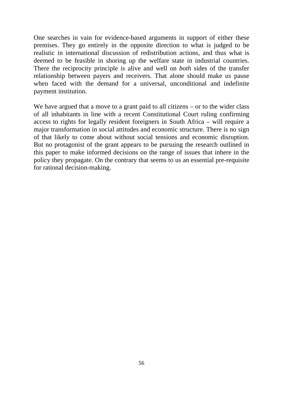One searches in vain for evidence-based arguments in support of either these premises. They go entirely in the opposite direction to what is judged to be realistic in international discussion of redistribution actions, and thus what is deemed to be feasible in shoring up the welfare state in industrial countries. There the reciprocity principle is alive and well on *both* sides of the transfer relationship between payers and receivers. That alone should make us pause when faced with the demand for a universal, unconditional and indefinite payment institution.

We have argued that a move to a grant paid to all citizens – or to the wider class of all inhabitants in line with a recent Constitutional Court ruling confirming access to rights for legally resident foreigners in South Africa – will require a major transformation in social attitudes and economic structure. There is no sign of that likely to come about without social tensions and economic disruption. But no protagonist of the grant appears to be pursuing the research outlined in this paper to make informed decisions on the range of issues that inhere in the policy they propagate. On the contrary that seems to us an essential pre-requisite for rational decision-making.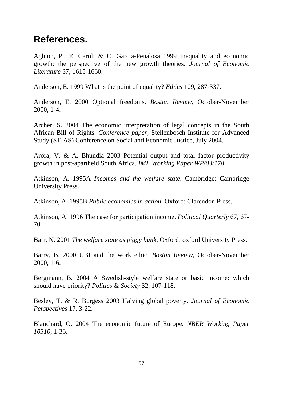#### **References.**

Aghion, P., E. Caroli & C. Garcia-Penalosa 1999 Inequality and economic growth: the perspective of the new growth theories. *Journal of Economic Literature* 37, 1615-1660.

Anderson, E. 1999 What is the point of equality? *Ethics* 109, 287-337.

Anderson, E. 2000 Optional freedoms. *Boston Review*, October-November 2000, 1-4.

Archer, S. 2004 The economic interpretation of legal concepts in the South African Bill of Rights. *Conference paper*, Stellenbosch Institute for Advanced Study (STIAS) Conference on Social and Economic Justice, July 2004.

Arora, V. & A. Bhundia 2003 Potential output and total factor productivity growth in post-apartheid South Africa. *IMF Working Paper WP/03/178*.

Atkinson, A. 1995A *Incomes and the welfare state*. Cambridge: Cambridge University Press.

Atkinson, A. 1995B *Public economics in action*. Oxford: Clarendon Press.

Atkinson, A. 1996 The case for participation income. *Political Quarterly* 67, 67- 70.

Barr, N. 2001 *The welfare state as piggy bank*. Oxford: oxford University Press.

Barry, B. 2000 UBI and the work ethic. *Boston Review*, October-November 2000, 1-6.

Bergmann, B. 2004 A Swedish-style welfare state or basic income: which should have priority? *Politics & Society* 32, 107-118.

Besley, T. & R. Burgess 2003 Halving global poverty. *Journal of Economic Perspectives* 17, 3-22.

Blanchard, O. 2004 The economic future of Europe. *NBER Working Paper 10310*, 1-36.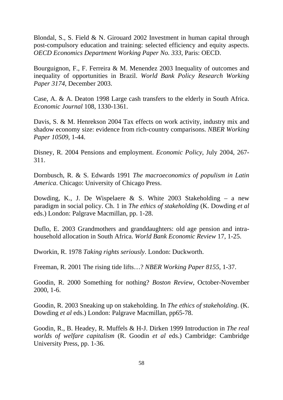Blondal, S., S. Field & N. Girouard 2002 Investment in human capital through post-compulsory education and training: selected efficiency and equity aspects. *OECD Economics Department Working Paper No. 333*, Paris: OECD.

Bourguignon, F., F. Ferreira & M. Menendez 2003 Inequality of outcomes and inequality of opportunities in Brazil. *World Bank Policy Research Working Paper 3174*, December 2003.

Case, A. & A. Deaton 1998 Large cash transfers to the elderly in South Africa. *Economic Journal* 108, 1330-1361.

Davis, S. & M. Henrekson 2004 Tax effects on work activity, industry mix and shadow economy size: evidence from rich-country comparisons. *NBER Working Paper 10509*, 1-44.

Disney, R. 2004 Pensions and employment. *Economic Policy*, July 2004, 267- 311.

Dornbusch, R. & S. Edwards 1991 *The macroeconomics of populism in Latin America*. Chicago: University of Chicago Press.

Dowding, K., J. De Wispelaere & S. White 2003 Stakeholding – a new paradigm in social policy. Ch. 1 in *The ethics of stakeholding* (K. Dowding *et al* eds.) London: Palgrave Macmillan, pp. 1-28.

Duflo, E. 2003 Grandmothers and granddaughters: old age pension and intrahousehold allocation in South Africa. *World Bank Economic Review* 17, 1-25.

Dworkin, R. 1978 *Taking rights seriously*. London: Duckworth.

Freeman, R. 2001 The rising tide lifts…? *NBER Working Paper 8155*, 1-37.

Goodin, R. 2000 Something for nothing? *Boston Review*, October-November 2000, 1-6.

Goodin, R. 2003 Sneaking up on stakeholding. In *The ethics of stakeholding*. (K. Dowding *et al* eds.) London: Palgrave Macmillan, pp65-78.

Goodin, R., B. Headey, R. Muffels & H-J. Dirken 1999 Introduction in *The real worlds of welfare capitalism* (R. Goodin *et al* eds.) Cambridge: Cambridge University Press, pp. 1-36.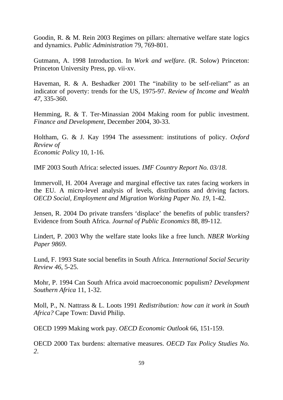Goodin, R. & M. Rein 2003 Regimes on pillars: alternative welfare state logics and dynamics. *Public Administration* 79, 769-801.

Gutmann, A. 1998 Introduction. In *Work and welfare*. (R. Solow) Princeton: Princeton University Press, pp. vii-xv.

Haveman, R. & A. Beshadker 2001 The "inability to be self-reliant" as an indicator of poverty: trends for the US, 1975-97. *Review of Income and Wealth 47*, 335-360.

Hemming, R. & T. Ter-Minassian 2004 Making room for public investment. *Finance and Development*, December 2004, 30-33.

Holtham, G. & J. Kay 1994 The assessment: institutions of policy. *Oxford Review of Economic Policy* 10, 1-16.

IMF 2003 South Africa: selected issues. *IMF Country Report No. 03/18*.

Immervoll, H. 2004 Average and marginal effective tax rates facing workers in the EU. A micro-level analysis of levels, distributions and driving factors. *OECD Social, Employment and Migration Working Paper No. 19*, 1-42.

Jensen, R. 2004 Do private transfers 'displace' the benefits of public transfers? Evidence from South Africa. *Journal of Public Economics* 88, 89-112.

Lindert, P. 2003 Why the welfare state looks like a free lunch. *NBER Working Paper 9869*.

Lund, F. 1993 State social benefits in South Africa. *International Social Security Review 46*, 5-25.

Mohr, P. 1994 Can South Africa avoid macroeconomic populism? *Development Southern Africa* 11, 1-32.

Moll, P., N. Nattrass & L. Loots 1991 *Redistribution: how can it work in South Africa?* Cape Town: David Philip.

OECD 1999 Making work pay. *OECD Economic Outlook* 66, 151-159.

OECD 2000 Tax burdens: alternative measures. *OECD Tax Policy Studies No. 2*.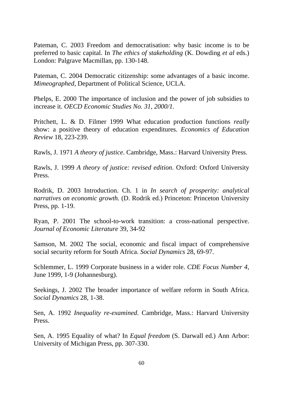Pateman, C. 2003 Freedom and democratisation: why basic income is to be preferred to basic capital. In *The ethics of stakeholding* (K. Dowding *et al* eds.) London: Palgrave Macmillan, pp. 130-148.

Pateman, C. 2004 Democratic citizenship: some advantages of a basic income. *Mimeographed*, Department of Political Science, UCLA.

Phelps, E. 2000 The importance of inclusion and the power of job subsidies to increase it. *OECD Economic Studies No. 31*, *2000/1.*

Pritchett, L. & D. Filmer 1999 What education production functions *really* show: a positive theory of education expenditures. *Economics of Education Review* 18, 223-239.

Rawls, J. 1971 *A theory of justice*. Cambridge, Mass.: Harvard University Press.

Rawls, J. 1999 *A theory of justice: revised edition*. Oxford: Oxford University Press.

Rodrik, D. 2003 Introduction. Ch. 1 in *In search of prosperity: analytical narratives on economic growth.* (D. Rodrik ed.) Princeton: Princeton University Press, pp. 1-19.

Ryan, P. 2001 The school-to-work transition: a cross-national perspective. *Journal of Economic Literature* 39, 34-92

Samson, M. 2002 The social, economic and fiscal impact of comprehensive social security reform for South Africa. *Social Dynamics* 28, 69-97.

Schlemmer, L. 1999 Corporate business in a wider role. *CDE Focus Number 4*, June 1999, 1-9 (Johannesburg).

Seekings, J. 2002 The broader importance of welfare reform in South Africa. *Social Dynamics* 28, 1-38.

Sen, A. 1992 *Inequality re-examined*. Cambridge, Mass.: Harvard University Press.

Sen, A. 1995 Equality of what? In *Equal freedom* (S. Darwall ed.) Ann Arbor: University of Michigan Press, pp. 307-330.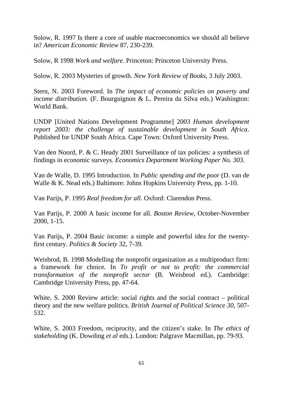Solow, R. 1997 Is there a core of usable macroeconomics we should all believe in? *American Economic Review* 87, 230-239.

Solow, R 1998 *Work and welfare*. Princeton: Princeton University Press.

Solow, R. 2003 Mysteries of growth. *New York Review of Books*, 3 July 2003.

Stern, N. 2003 Foreword. In *The impact of economic policies on poverty and income distribution.* (F. Bourguignon & L. Pereira da Silva eds.) Washington: World Bank.

UNDP [United Nations Development Programme] 2003 *Human development report 2003: the challenge of sustainable development in South Africa*. Published for UNDP South Africa. Cape Town: Oxford University Press.

Van den Noord, P. & C. Heady 2001 Surveillance of tax policies: a synthesis of findings in economic surveys. *Economics Department Working Paper No. 303.*

Van de Walle, D. 1995 Introduction. In *Public spending and the poor* (D. van de Walle & K. Nead eds.) Baltimore: Johns Hopkins University Press, pp. 1-10.

Van Parijs, P. 1995 *Real freedom for all*. Oxford: Clarendon Press.

Van Parijs, P. 2000 A basic income for all. *Boston Review*, October-November 2000, 1-15.

Van Parijs, P. 2004 Basic income: a simple and powerful idea for the twentyfirst century. *Politics & Society* 32, 7-39.

Weisbrod, B. 1998 Modelling the nonprofit organization as a multiproduct firm: a framework for choice. In *To profit or not to profit: the commercial transformation of the nonprofit sector* (B. Weisbrod ed.). Cambridge: Cambridge University Press, pp. 47-64.

White, S. 2000 Review article: social rights and the social contract – political theory and the new welfare politics. *British Journal of Political Science 30*, 507- 532.

White, S. 2003 Freedom, reciprocity, and the citizen's stake. In *The ethics of stakeholding* (K. Dowding *et al* eds.). London: Palgrave Macmillan, pp. 79-93.